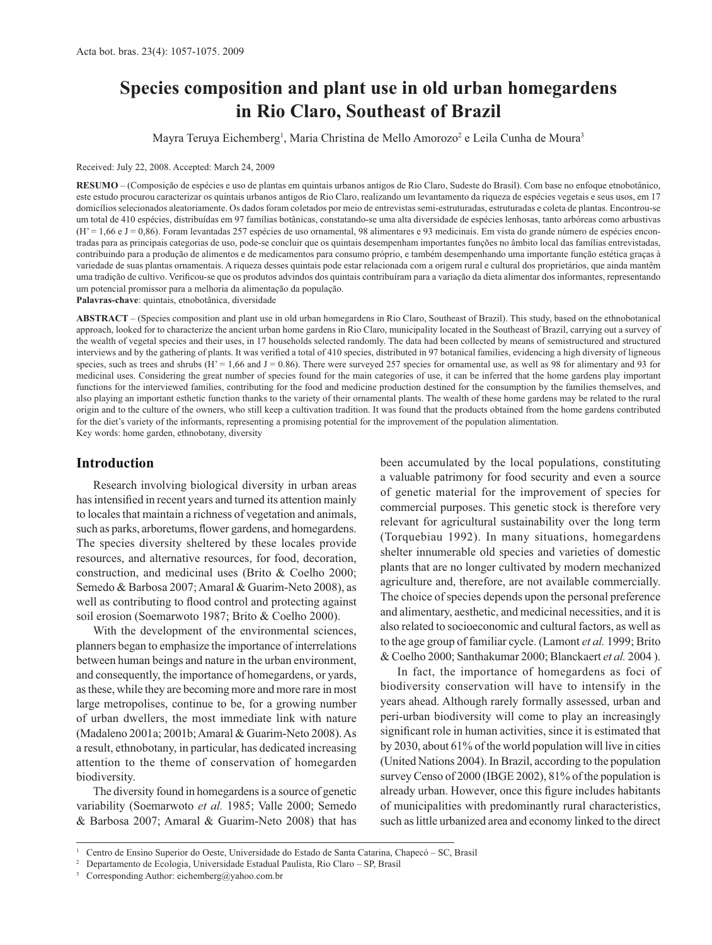# **Species composition and plant use in old urban homegardens in Rio Claro, Southeast of Brazil**

Mayra Teruya Eichemberg<sup>1</sup>, Maria Christina de Mello Amorozo<sup>2</sup> e Leila Cunha de Moura<sup>3</sup>

#### Received: July 22, 2008. Accepted: March 24, 2009

**RESUMO** – (Composição de espécies e uso de plantas em quintais urbanos antigos de Rio Claro, Sudeste do Brasil). Com base no enfoque etnobotânico, este estudo procurou caracterizar os quintais urbanos antigos de Rio Claro, realizando um levantamento da riqueza de espécies vegetais e seus usos, em 17 domicílios selecionados aleatoriamente. Os dados foram coletados por meio de entrevistas semi-estruturadas, estruturadas e coleta de plantas. Encontrou-se um total de 410 espécies, distribuídas em 97 famílias botânicas, constatando-se uma alta diversidade de espécies lenhosas, tanto arbóreas como arbustivas (H' = 1,66 e J = 0,86). Foram levantadas 257 espécies de uso ornamental, 98 alimentares e 93 medicinais. Em vista do grande número de espécies encontradas para as principais categorias de uso, pode-se concluir que os quintais desempenham importantes funções no âmbito local das famílias entrevistadas, contribuindo para a produção de alimentos e de medicamentos para consumo próprio, e também desempenhando uma importante função estética graças à variedade de suas plantas ornamentais. A riqueza desses quintais pode estar relacionada com a origem rural e cultural dos proprietários, que ainda mantêm uma tradição de cultivo. Verificou-se que os produtos advindos dos quintais contribuíram para a variação da dieta alimentar dos informantes, representando um potencial promissor para a melhoria da alimentação da população.

**Palavras-chave**: quintais, etnobotânica, diversidade

**ABSTRACT** – (Species composition and plant use in old urban homegardens in Rio Claro, Southeast of Brazil). This study, based on the ethnobotanical approach, looked for to characterize the ancient urban home gardens in Rio Claro, municipality located in the Southeast of Brazil, carrying out a survey of the wealth of vegetal species and their uses, in 17 households selected randomly. The data had been collected by means of semistructured and structured interviews and by the gathering of plants. It was verified a total of 410 species, distributed in 97 botanical families, evidencing a high diversity of ligneous species, such as trees and shrubs (H' = 1,66 and J = 0.86). There were surveyed 257 species for ornamental use, as well as 98 for alimentary and 93 for medicinal uses. Considering the great number of species found for the main categories of use, it can be inferred that the home gardens play important functions for the interviewed families, contributing for the food and medicine production destined for the consumption by the families themselves, and also playing an important esthetic function thanks to the variety of their ornamental plants. The wealth of these home gardens may be related to the rural origin and to the culture of the owners, who still keep a cultivation tradition. It was found that the products obtained from the home gardens contributed for the diet's variety of the informants, representing a promising potential for the improvement of the population alimentation. Key words: home garden, ethnobotany, diversity

#### **Introduction**

Research involving biological diversity in urban areas has intensified in recent years and turned its attention mainly to locales that maintain a richness of vegetation and animals, such as parks, arboretums, flower gardens, and homegardens. The species diversity sheltered by these locales provide resources, and alternative resources, for food, decoration, construction, and medicinal uses (Brito & Coelho 2000; Semedo & Barbosa 2007; Amaral & Guarim-Neto 2008), as well as contributing to flood control and protecting against soil erosion (Soemarwoto 1987; Brito & Coelho 2000).

With the development of the environmental sciences, planners began to emphasize the importance of interrelations between human beings and nature in the urban environment, and consequently, the importance of homegardens, or yards, as these, while they are becoming more and more rare in most large metropolises, continue to be, for a growing number of urban dwellers, the most immediate link with nature (Madaleno 2001a; 2001b; Amaral & Guarim-Neto 2008). As a result, ethnobotany, in particular, has dedicated increasing attention to the theme of conservation of homegarden biodiversity.

The diversity found in homegardens is a source of genetic variability (Soemarwoto *et al.* 1985; Valle 2000; Semedo & Barbosa 2007; Amaral & Guarim-Neto 2008) that has

been accumulated by the local populations, constituting a valuable patrimony for food security and even a source of genetic material for the improvement of species for commercial purposes. This genetic stock is therefore very relevant for agricultural sustainability over the long term (Torquebiau 1992). In many situations, homegardens shelter innumerable old species and varieties of domestic plants that are no longer cultivated by modern mechanized agriculture and, therefore, are not available commercially. The choice of species depends upon the personal preference and alimentary, aesthetic, and medicinal necessities, and it is also related to socioeconomic and cultural factors, as well as to the age group of familiar cycle. (Lamont *et al.* 1999; Brito & Coelho 2000; Santhakumar 2000; Blanckaert *et al.* 2004 ).

In fact, the importance of homegardens as foci of biodiversity conservation will have to intensify in the years ahead. Although rarely formally assessed, urban and peri-urban biodiversity will come to play an increasingly significant role in human activities, since it is estimated that by 2030, about 61% of the world population will live in cities (United Nations 2004). In Brazil, according to the population survey Censo of 2000 (IBGE 2002), 81% of the population is already urban. However, once this figure includes habitants of municipalities with predominantly rural characteristics, such as little urbanized area and economy linked to the direct

<sup>1</sup> Centro de Ensino Superior do Oeste, Universidade do Estado de Santa Catarina, Chapecó – SC, Brasil 2

Departamento de Ecologia, Universidade Estadual Paulista, Rio Claro – SP, Brasil

<sup>3</sup> Corresponding Author: eichemberg@yahoo.com.br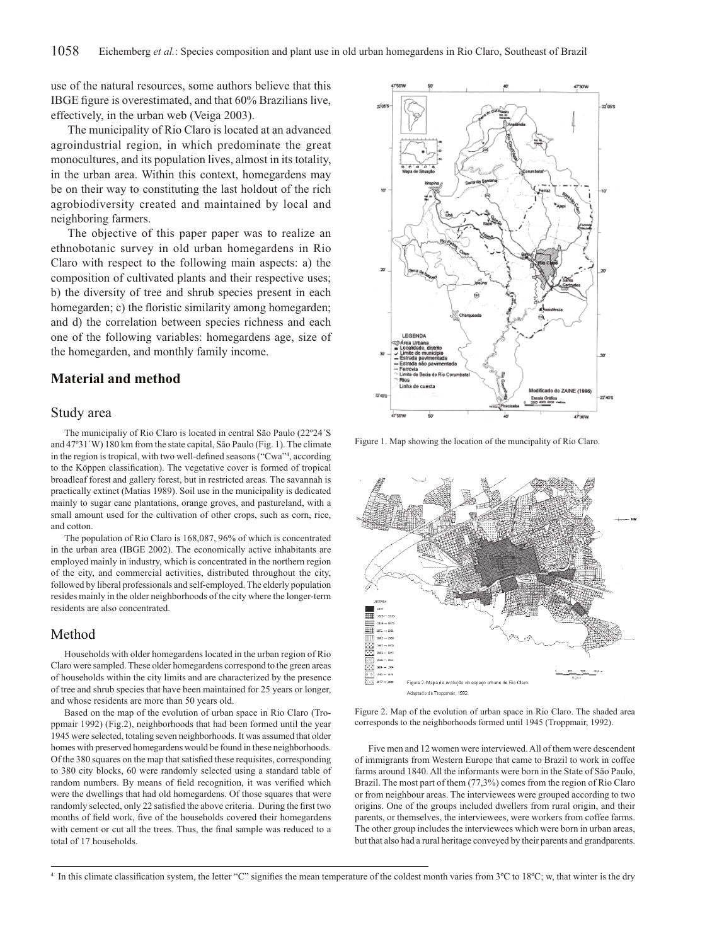use of the natural resources, some authors believe that this IBGE figure is overestimated, and that 60% Brazilians live, effectively, in the urban web (Veiga 2003).

The municipality of Rio Claro is located at an advanced agroindustrial region, in which predominate the great monocultures, and its population lives, almost in its totality, in the urban area. Within this context, homegardens may be on their way to constituting the last holdout of the rich agrobiodiversity created and maintained by local and neighboring farmers.

The objective of this paper paper was to realize an ethnobotanic survey in old urban homegardens in Rio Claro with respect to the following main aspects: a) the composition of cultivated plants and their respective uses; b) the diversity of tree and shrub species present in each homegarden; c) the floristic similarity among homegarden; and d) the correlation between species richness and each one of the following variables: homegardens age, size of the homegarden, and monthly family income.

## **Material and method**

#### Study area

The municipaliy of Rio Claro is located in central São Paulo (22º24´S and 47º31´W) 180 km from the state capital, São Paulo (Fig. 1). The climate in the region is tropical, with two well-defined seasons ("Cwa"<sup>4</sup>, according to the Köppen classification). The vegetative cover is formed of tropical broadleaf forest and gallery forest, but in restricted areas. The savannah is practically extinct (Matias 1989). Soil use in the municipality is dedicated mainly to sugar cane plantations, orange groves, and pastureland, with a small amount used for the cultivation of other crops, such as corn, rice, and cotton.

The population of Rio Claro is 168,087, 96% of which is concentrated in the urban area (IBGE 2002). The economically active inhabitants are employed mainly in industry, which is concentrated in the northern region of the city, and commercial activities, distributed throughout the city, followed by liberal professionals and self-employed. The elderly population resides mainly in the older neighborhoods of the city where the longer-term residents are also concentrated.

#### Method

Households with older homegardens located in the urban region of Rio Claro were sampled. These older homegardens correspond to the green areas of households within the city limits and are characterized by the presence of tree and shrub species that have been maintained for 25 years or longer, and whose residents are more than 50 years old.

Based on the map of the evolution of urban space in Rio Claro (Troppmair 1992) (Fig.2), neighborhoods that had been formed until the year 1945 were selected, totaling seven neighborhoods. It was assumed that older homes with preserved homegardens would be found in these neighborhoods. Of the 380 squares on the map that satisfied these requisites, corresponding to 380 city blocks, 60 were randomly selected using a standard table of random numbers. By means of field recognition, it was verified which were the dwellings that had old homegardens. Of those squares that were randomly selected, only 22 satisfied the above criteria. During the first two months of field work, five of the households covered their homegardens with cement or cut all the trees. Thus, the final sample was reduced to a total of 17 households.



Figure 1. Map showing the location of the muncipality of Rio Claro.



Figure 2. Map of the evolution of urban space in Rio Claro. The shaded area corresponds to the neighborhoods formed until 1945 (Troppmair, 1992).

Five men and 12 women were interviewed. All of them were descendent of immigrants from Western Europe that came to Brazil to work in coffee farms around 1840. All the informants were born in the State of São Paulo, Brazil. The most part of them (77,3%) comes from the region of Rio Claro or from neighbour areas. The interviewees were grouped according to two origins. One of the groups included dwellers from rural origin, and their parents, or themselves, the interviewees, were workers from coffee farms. The other group includes the interviewees which were born in urban areas, but that also had a rural heritage conveyed by their parents and grandparents.

<sup>&</sup>lt;sup>4</sup> In this climate classification system, the letter "C" signifies the mean temperature of the coldest month varies from 3°C to 18°C; w, that winter is the dry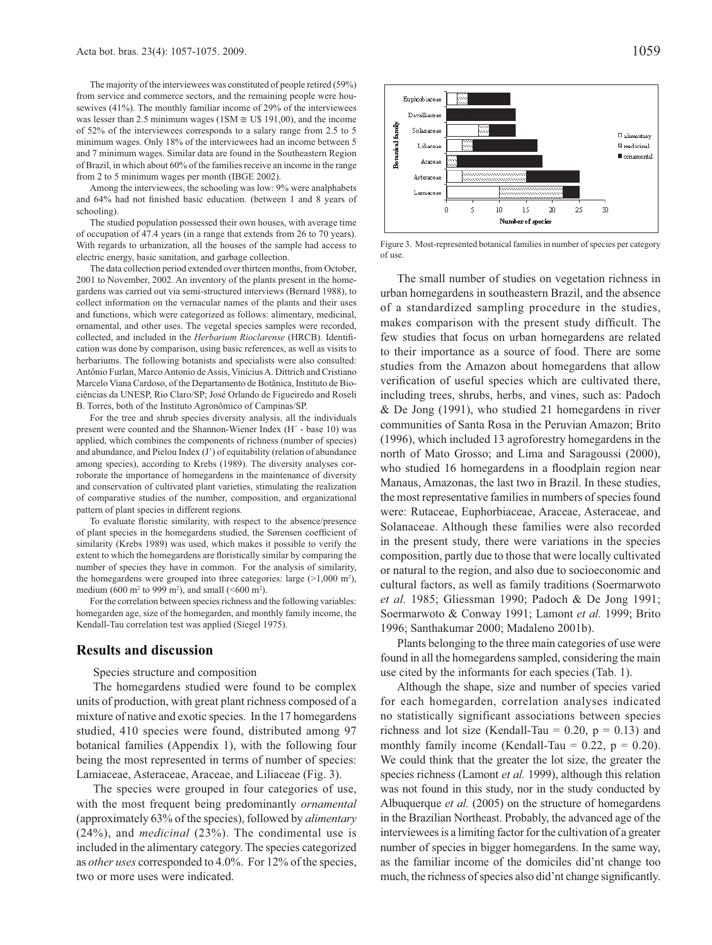The majority of the interviewees was constituted of people retired (59%) from service and commerce sectors, and the remaining people were housewives (41%). The monthly familiar income of 29% of the interviewees was lesser than 2.5 minimum wages (1SM  $\cong$  U\$ 191,00), and the income of 52% of the interviewees corresponds to a salary range from 2.5 to 5 minimum wages. Only 18% of the interviewees had an income between 5 and 7 minimum wages. Similar data are found in the Southeastern Region of Brazil, in which about 60% of the families receive an income in the range from 2 to 5 minimum wages per month (IBGE 2002).

Among the interviewees, the schooling was low: 9% were analphabets and 64% had not finished basic education. (between 1 and 8 years of schooling).

The studied population possessed their own houses, with average time of occupation of 47.4 years (in a range that extends from 26 to 70 years). With regards to urbanization, all the houses of the sample had access to electric energy, basic sanitation, and garbage collection.

The data collection period extended over thirteen months, from October, 2001 to November, 2002. An inventory of the plants present in the homegardens was carried out via semi-structured interviews (Bernard 1988), to collect information on the vernacular names of the plants and their uses and functions, which were categorized as follows: alimentary, medicinal, ornamental, and other uses. The vegetal species samples were recorded, collected, and included in the *Herbarium Rioclarense* (HRCB). Identification was done by comparison, using basic references, as well as visits to herbariums. The following botanists and specialists were also consulted: Antônio Furlan, Marco Antonio de Assis, Vinícius A. Dittrich and Cristiano Marcelo Viana Cardoso, of the Departamento de Botânica, Instituto de Biociências da UNESP, Rio Claro/SP; José Orlando de Figueiredo and Roseli B. Torres, both of the Instituto Agronômico of Campinas/SP.

For the tree and shrub species diversity analysis, all the individuals present were counted and the Shannon-Wiener Index (H´ - base 10) was applied, which combines the components of richness (number of species) and abundance, and Pielou Index (J') of equitability (relation of abundance among species), according to Krebs (1989). The diversity analyses corroborate the importance of homegardens in the maintenance of diversity and conservation of cultivated plant varieties, stimulating the realization of comparative studies of the number, composition, and organizational pattern of plant species in different regions.

To evaluate floristic similarity, with respect to the absence/presence of plant species in the homegardens studied, the Sørensen coefficient of similarity (Krebs 1989) was used, which makes it possible to verify the extent to which the homegardens are floristically similar by comparing the number of species they have in common. For the analysis of similarity, the homegardens were grouped into three categories: large  $(>1,000 \text{ m}^2)$ , medium (600 m<sup>2</sup> to 999 m<sup>2</sup>), and small (<600 m<sup>2</sup>).

For the correlation between species richness and the following variables: homegarden age, size of the homegarden, and monthly family income, the Kendall-Tau correlation test was applied (Siegel 1975).

#### **Results and discussion**

Species structure and composition

The homegardens studied were found to be complex units of production, with great plant richness composed of a mixture of native and exotic species. In the 17 homegardens studied, 410 species were found, distributed among 97 botanical families (Appendix 1), with the following four being the most represented in terms of number of species: Lamiaceae, Asteraceae, Araceae, and Liliaceae (Fig. 3).

The species were grouped in four categories of use, with the most frequent being predominantly *ornamental* (approximately 63% of the species), followed by *alimentary* (24%), and *medicinal* (23%). The condimental use is included in the alimentary category. The species categorized as *other uses* corresponded to 4.0%. For 12% of the species, two or more uses were indicated.



Figure 3. Most-represented botanical families in number of species per category of use.

The small number of studies on vegetation richness in urban homegardens in southeastern Brazil, and the absence of a standardized sampling procedure in the studies, makes comparison with the present study difficult. The few studies that focus on urban homegardens are related to their importance as a source of food. There are some studies from the Amazon about homegardens that allow verification of useful species which are cultivated there, including trees, shrubs, herbs, and vines, such as: Padoch & De Jong (1991), who studied 21 homegardens in river communities of Santa Rosa in the Peruvian Amazon; Brito (1996), which included 13 agroforestry homegardens in the north of Mato Grosso; and Lima and Saragoussi (2000), who studied 16 homegardens in a floodplain region near Manaus, Amazonas, the last two in Brazil. In these studies, the most representative families in numbers of species found were: Rutaceae, Euphorbiaceae, Araceae, Asteraceae, and Solanaceae. Although these families were also recorded in the present study, there were variations in the species composition, partly due to those that were locally cultivated or natural to the region, and also due to socioeconomic and cultural factors, as well as family traditions (Soermarwoto *et al.* 1985; Gliessman 1990; Padoch & De Jong 1991; Soermarwoto & Conway 1991; Lamont *et al.* 1999; Brito 1996; Santhakumar 2000; Madaleno 2001b).

Plants belonging to the three main categories of use were found in all the homegardens sampled, considering the main use cited by the informants for each species (Tab. 1).

Although the shape, size and number of species varied for each homegarden, correlation analyses indicated no statistically significant associations between species richness and lot size (Kendall-Tau =  $0.20$ , p =  $0.13$ ) and monthly family income (Kendall-Tau =  $0.22$ ,  $p = 0.20$ ). We could think that the greater the lot size, the greater the species richness (Lamont *et al.* 1999), although this relation was not found in this study, nor in the study conducted by Albuquerque *et al.* (2005) on the structure of homegardens in the Brazilian Northeast. Probably, the advanced age of the interviewees is a limiting factor for the cultivation of a greater number of species in bigger homegardens. In the same way, as the familiar income of the domiciles did'nt change too much, the richness of species also did'nt change significantly.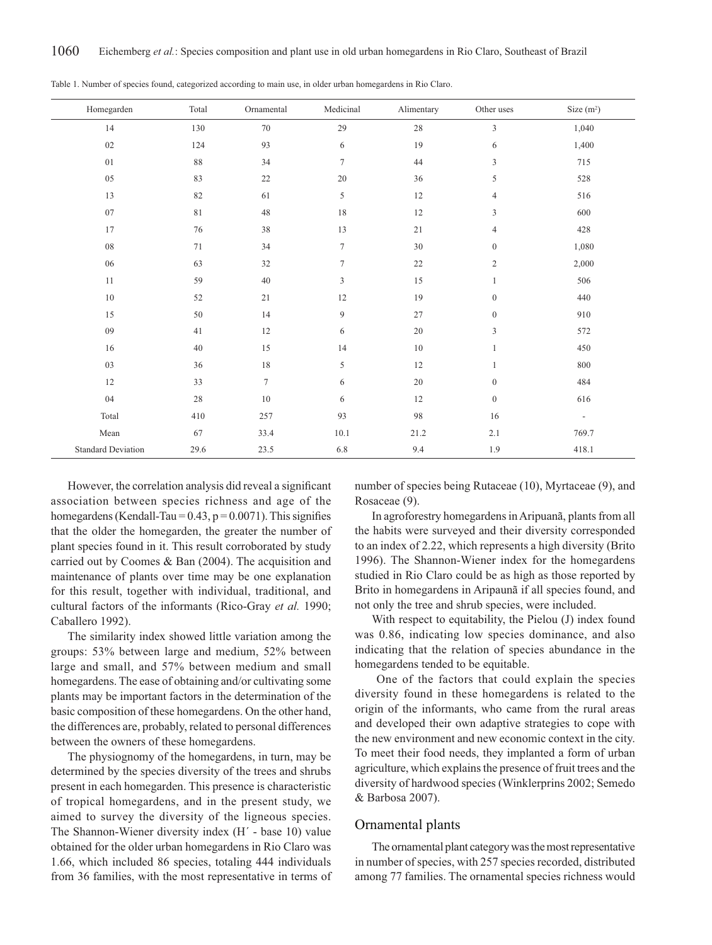| Homegarden                | Total  | Ornamental | Medicinal      | Alimentary | Other uses       | Size $(m^2)$             |
|---------------------------|--------|------------|----------------|------------|------------------|--------------------------|
| 14                        | 130    | 70         | 29             | $28\,$     | $\mathfrak{Z}$   | 1,040                    |
| $02\,$                    | 124    | 93         | 6              | 19         | 6                | 1,400                    |
| 01                        | 88     | 34         | $\tau$         | 44         | 3                | 715                      |
| 05                        | 83     | 22         | 20             | 36         | 5                | 528                      |
| 13                        | 82     | 61         | 5              | 12         | $\overline{4}$   | 516                      |
| $07\,$                    | 81     | $48\,$     | 18             | 12         | 3                | 600                      |
| 17                        | 76     | 38         | 13             | 21         | $\overline{4}$   | 428                      |
| ${\bf 08}$                | 71     | 34         | $\tau$         | 30         | $\mathbf{0}$     | 1,080                    |
| 06                        | 63     | 32         | $\tau$         | 22         | $\sqrt{2}$       | 2,000                    |
| 11                        | 59     | 40         | $\overline{3}$ | 15         | $\mathbf{1}$     | 506                      |
| $10\,$                    | 52     | 21         | 12             | 19         | $\boldsymbol{0}$ | 440                      |
| 15                        | 50     | 14         | 9              | 27         | $\boldsymbol{0}$ | 910                      |
| 09                        | 41     | 12         | 6              | 20         | 3                | 572                      |
| 16                        | $40\,$ | 15         | 14             | $10\,$     | $\mathbf{1}$     | 450                      |
| 03                        | 36     | 18         | 5              | 12         | $\mathbf{1}$     | 800                      |
| 12                        | 33     | $\tau$     | 6              | 20         | $\mathbf{0}$     | 484                      |
| 04                        | 28     | 10         | 6              | 12         | $\boldsymbol{0}$ | 616                      |
| Total                     | 410    | 257        | 93             | 98         | 16               | $\overline{\phantom{a}}$ |
| Mean                      | 67     | 33.4       | 10.1           | 21.2       | 2.1              | 769.7                    |
| <b>Standard Deviation</b> | 29.6   | 23.5       | $6.8\,$        | 9.4        | 1.9              | 418.1                    |

Table 1. Number of species found, categorized according to main use, in older urban homegardens in Rio Claro.

However, the correlation analysis did reveal a significant association between species richness and age of the homegardens (Kendall-Tau =  $0.43$ ,  $p = 0.0071$ ). This signifies that the older the homegarden, the greater the number of plant species found in it. This result corroborated by study carried out by Coomes & Ban (2004). The acquisition and maintenance of plants over time may be one explanation for this result, together with individual, traditional, and cultural factors of the informants (Rico-Gray *et al.* 1990; Caballero 1992).

The similarity index showed little variation among the groups: 53% between large and medium, 52% between large and small, and 57% between medium and small homegardens. The ease of obtaining and/or cultivating some plants may be important factors in the determination of the basic composition of these homegardens. On the other hand, the differences are, probably, related to personal differences between the owners of these homegardens.

The physiognomy of the homegardens, in turn, may be determined by the species diversity of the trees and shrubs present in each homegarden. This presence is characteristic of tropical homegardens, and in the present study, we aimed to survey the diversity of the ligneous species. The Shannon-Wiener diversity index (H´ - base 10) value obtained for the older urban homegardens in Rio Claro was 1.66, which included 86 species, totaling 444 individuals from 36 families, with the most representative in terms of number of species being Rutaceae (10), Myrtaceae (9), and Rosaceae (9).

In agroforestry homegardens in Aripuanã, plants from all the habits were surveyed and their diversity corresponded to an index of 2.22, which represents a high diversity (Brito 1996). The Shannon-Wiener index for the homegardens studied in Rio Claro could be as high as those reported by Brito in homegardens in Aripaunã if all species found, and not only the tree and shrub species, were included.

With respect to equitability, the Pielou (J) index found was 0.86, indicating low species dominance, and also indicating that the relation of species abundance in the homegardens tended to be equitable.

 One of the factors that could explain the species diversity found in these homegardens is related to the origin of the informants, who came from the rural areas and developed their own adaptive strategies to cope with the new environment and new economic context in the city. To meet their food needs, they implanted a form of urban agriculture, which explains the presence of fruit trees and the diversity of hardwood species (Winklerprins 2002; Semedo & Barbosa 2007).

#### Ornamental plants

The ornamental plant category was the most representative in number of species, with 257 species recorded, distributed among 77 families. The ornamental species richness would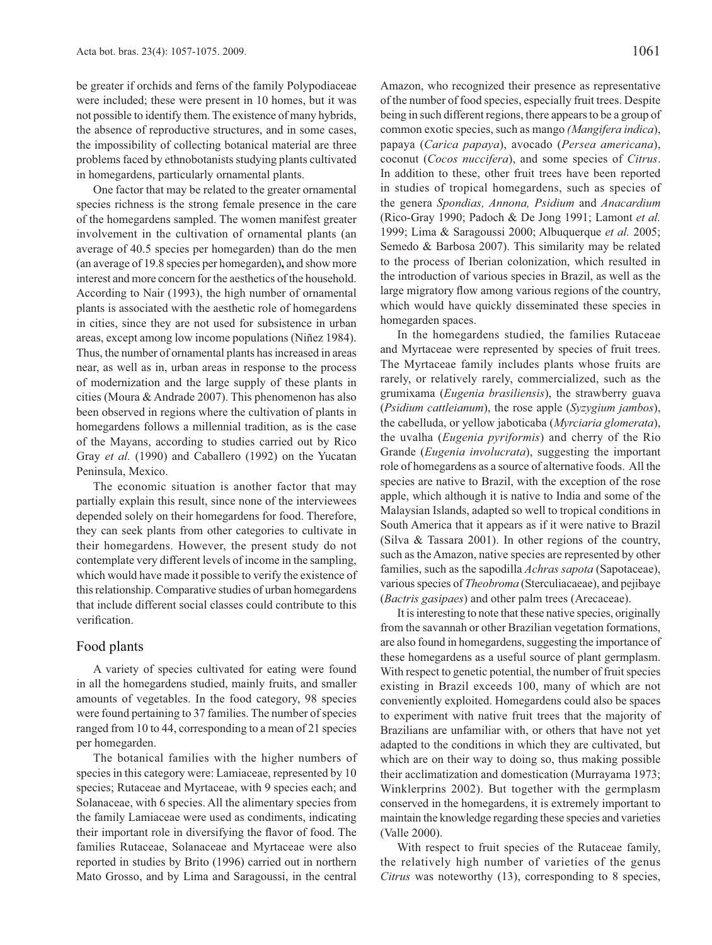be greater if orchids and ferns of the family Polypodiaceae were included; these were present in 10 homes, but it was not possible to identify them. The existence of many hybrids, the absence of reproductive structures, and in some cases, the impossibility of collecting botanical material are three problems faced by ethnobotanists studying plants cultivated in homegardens, particularly ornamental plants.

One factor that may be related to the greater ornamental species richness is the strong female presence in the care of the homegardens sampled. The women manifest greater involvement in the cultivation of ornamental plants (an average of 40.5 species per homegarden) than do the men (an average of 19.8 species per homegarden)**,** and show more interest and more concern for the aesthetics of the household. According to Nair (1993), the high number of ornamental plants is associated with the aesthetic role of homegardens in cities, since they are not used for subsistence in urban areas, except among low income populations (Niñez 1984). Thus, the number of ornamental plants has increased in areas near, as well as in, urban areas in response to the process of modernization and the large supply of these plants in cities (Moura & Andrade 2007). This phenomenon has also been observed in regions where the cultivation of plants in homegardens follows a millennial tradition, as is the case of the Mayans, according to studies carried out by Rico Gray *et al.* (1990) and Caballero (1992) on the Yucatan Peninsula, Mexico.

The economic situation is another factor that may partially explain this result, since none of the interviewees depended solely on their homegardens for food. Therefore, they can seek plants from other categories to cultivate in their homegardens. However, the present study do not contemplate very different levels of income in the sampling, which would have made it possible to verify the existence of this relationship. Comparative studies of urban homegardens that include different social classes could contribute to this verification.

#### Food plants

A variety of species cultivated for eating were found in all the homegardens studied, mainly fruits, and smaller amounts of vegetables. In the food category, 98 species were found pertaining to 37 families. The number of species ranged from 10 to 44, corresponding to a mean of 21 species per homegarden.

The botanical families with the higher numbers of species in this category were: Lamiaceae, represented by 10 species; Rutaceae and Myrtaceae, with 9 species each; and Solanaceae, with 6 species. All the alimentary species from the family Lamiaceae were used as condiments, indicating their important role in diversifying the flavor of food. The families Rutaceae, Solanaceae and Myrtaceae were also reported in studies by Brito (1996) carried out in northern Mato Grosso, and by Lima and Saragoussi, in the central

Amazon, who recognized their presence as representative of the number of food species, especially fruit trees. Despite being in such different regions, there appears to be a group of common exotic species, such as mango *(Mangifera indica*), papaya (*Carica papaya*), avocado (*Persea americana*), coconut (*Cocos nuccifera*), and some species of *Citrus*. In addition to these, other fruit trees have been reported in studies of tropical homegardens, such as species of the genera *Spondias, Annona, Psidium* and *Anacardium*  (Rico-Gray 1990; Padoch & De Jong 1991; Lamont *et al.* 1999; Lima & Saragoussi 2000; Albuquerque *et al.* 2005; Semedo & Barbosa 2007). This similarity may be related to the process of Iberian colonization, which resulted in the introduction of various species in Brazil, as well as the large migratory flow among various regions of the country, which would have quickly disseminated these species in homegarden spaces.

In the homegardens studied, the families Rutaceae and Myrtaceae were represented by species of fruit trees. The Myrtaceae family includes plants whose fruits are rarely, or relatively rarely, commercialized, such as the grumixama (*Eugenia brasiliensis*), the strawberry guava (*Psidium cattleianum*), the rose apple (*Syzygium jambos*), the cabelluda, or yellow jaboticaba (*Myrciaria glomerata*), the uvalha (*Eugenia pyriformis*) and cherry of the Rio Grande (*Eugenia involucrata*), suggesting the important role of homegardens as a source of alternative foods. All the species are native to Brazil, with the exception of the rose apple, which although it is native to India and some of the Malaysian Islands, adapted so well to tropical conditions in South America that it appears as if it were native to Brazil (Silva & Tassara 2001). In other regions of the country, such as the Amazon, native species are represented by other families, such as the sapodilla *Achras sapota* (Sapotaceae), various species of *Theobroma* (Sterculiacaeae), and pejibaye (*Bactris gasipaes*) and other palm trees (Arecaceae).

It is interesting to note that these native species, originally from the savannah or other Brazilian vegetation formations, are also found in homegardens, suggesting the importance of these homegardens as a useful source of plant germplasm. With respect to genetic potential, the number of fruit species existing in Brazil exceeds 100, many of which are not conveniently exploited. Homegardens could also be spaces to experiment with native fruit trees that the majority of Brazilians are unfamiliar with, or others that have not yet adapted to the conditions in which they are cultivated, but which are on their way to doing so, thus making possible their acclimatization and domestication (Murrayama 1973; Winklerprins 2002). But together with the germplasm conserved in the homegardens, it is extremely important to maintain the knowledge regarding these species and varieties (Valle 2000).

With respect to fruit species of the Rutaceae family, the relatively high number of varieties of the genus *Citrus* was noteworthy (13), corresponding to 8 species,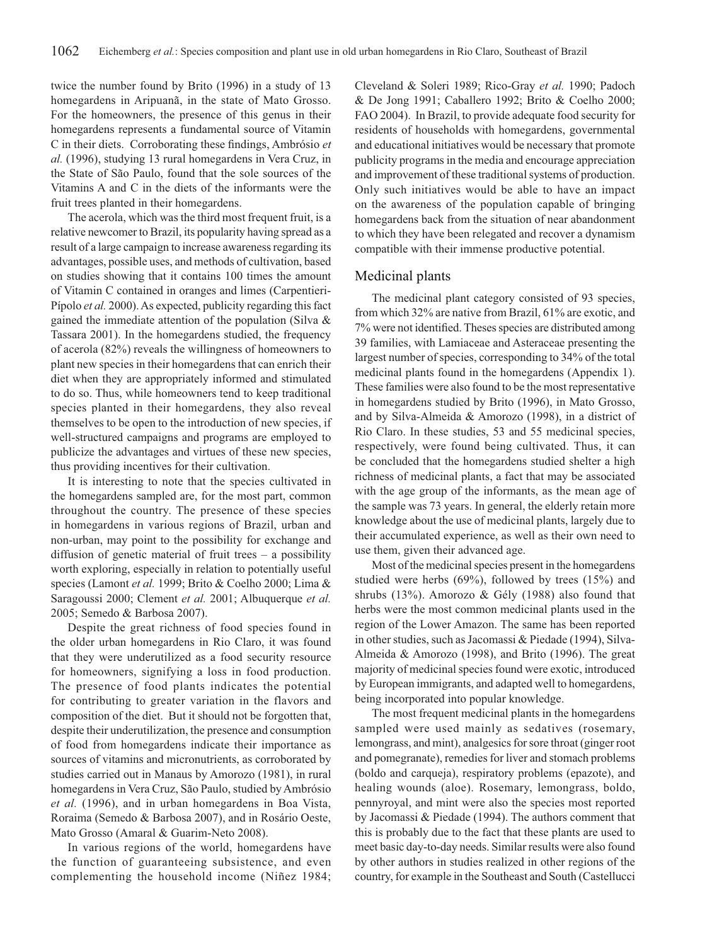twice the number found by Brito (1996) in a study of 13 homegardens in Aripuanã, in the state of Mato Grosso. For the homeowners, the presence of this genus in their homegardens represents a fundamental source of Vitamin C in their diets. Corroborating these findings, Ambrósio *et al.* (1996), studying 13 rural homegardens in Vera Cruz, in the State of São Paulo, found that the sole sources of the Vitamins A and C in the diets of the informants were the fruit trees planted in their homegardens.

The acerola, which was the third most frequent fruit, is a relative newcomer to Brazil, its popularity having spread as a result of a large campaign to increase awareness regarding its advantages, possible uses, and methods of cultivation, based on studies showing that it contains 100 times the amount of Vitamin C contained in oranges and limes (Carpentieri-Pípolo *et al.* 2000). As expected, publicity regarding this fact gained the immediate attention of the population (Silva & Tassara 2001). In the homegardens studied, the frequency of acerola (82%) reveals the willingness of homeowners to plant new species in their homegardens that can enrich their diet when they are appropriately informed and stimulated to do so. Thus, while homeowners tend to keep traditional species planted in their homegardens, they also reveal themselves to be open to the introduction of new species, if well-structured campaigns and programs are employed to publicize the advantages and virtues of these new species, thus providing incentives for their cultivation.

It is interesting to note that the species cultivated in the homegardens sampled are, for the most part, common throughout the country. The presence of these species in homegardens in various regions of Brazil, urban and non-urban, may point to the possibility for exchange and diffusion of genetic material of fruit trees – a possibility worth exploring, especially in relation to potentially useful species (Lamont *et al.* 1999; Brito & Coelho 2000; Lima & Saragoussi 2000; Clement *et al.* 2001; Albuquerque *et al.* 2005; Semedo & Barbosa 2007).

Despite the great richness of food species found in the older urban homegardens in Rio Claro, it was found that they were underutilized as a food security resource for homeowners, signifying a loss in food production. The presence of food plants indicates the potential for contributing to greater variation in the flavors and composition of the diet. But it should not be forgotten that, despite their underutilization, the presence and consumption of food from homegardens indicate their importance as sources of vitamins and micronutrients, as corroborated by studies carried out in Manaus by Amorozo (1981), in rural homegardens in Vera Cruz, São Paulo, studied by Ambrósio *et al.* (1996), and in urban homegardens in Boa Vista, Roraima (Semedo & Barbosa 2007), and in Rosário Oeste, Mato Grosso (Amaral & Guarim-Neto 2008).

In various regions of the world, homegardens have the function of guaranteeing subsistence, and even complementing the household income (Niñez 1984;

Cleveland & Soleri 1989; Rico-Gray *et al.* 1990; Padoch & De Jong 1991; Caballero 1992; Brito & Coelho 2000; FAO 2004). In Brazil, to provide adequate food security for residents of households with homegardens, governmental and educational initiatives would be necessary that promote publicity programs in the media and encourage appreciation and improvement of these traditional systems of production. Only such initiatives would be able to have an impact on the awareness of the population capable of bringing homegardens back from the situation of near abandonment to which they have been relegated and recover a dynamism compatible with their immense productive potential.

#### Medicinal plants

The medicinal plant category consisted of 93 species, from which 32% are native from Brazil, 61% are exotic, and 7% were not identified. Theses species are distributed among 39 families, with Lamiaceae and Asteraceae presenting the largest number of species, corresponding to 34% of the total medicinal plants found in the homegardens (Appendix 1). These families were also found to be the most representative in homegardens studied by Brito (1996), in Mato Grosso, and by Silva-Almeida & Amorozo (1998), in a district of Rio Claro. In these studies, 53 and 55 medicinal species, respectively, were found being cultivated. Thus, it can be concluded that the homegardens studied shelter a high richness of medicinal plants, a fact that may be associated with the age group of the informants, as the mean age of the sample was 73 years. In general, the elderly retain more knowledge about the use of medicinal plants, largely due to their accumulated experience, as well as their own need to use them, given their advanced age.

Most of the medicinal species present in the homegardens studied were herbs (69%), followed by trees (15%) and shrubs (13%). Amorozo & Gély (1988) also found that herbs were the most common medicinal plants used in the region of the Lower Amazon. The same has been reported in other studies, such as Jacomassi & Piedade (1994), Silva-Almeida & Amorozo (1998), and Brito (1996). The great majority of medicinal species found were exotic, introduced by European immigrants, and adapted well to homegardens, being incorporated into popular knowledge.

The most frequent medicinal plants in the homegardens sampled were used mainly as sedatives (rosemary, lemongrass, and mint), analgesics for sore throat (ginger root and pomegranate), remedies for liver and stomach problems (boldo and carqueja), respiratory problems (epazote), and healing wounds (aloe). Rosemary, lemongrass, boldo, pennyroyal, and mint were also the species most reported by Jacomassi & Piedade (1994). The authors comment that this is probably due to the fact that these plants are used to meet basic day-to-day needs. Similar results were also found by other authors in studies realized in other regions of the country, for example in the Southeast and South (Castellucci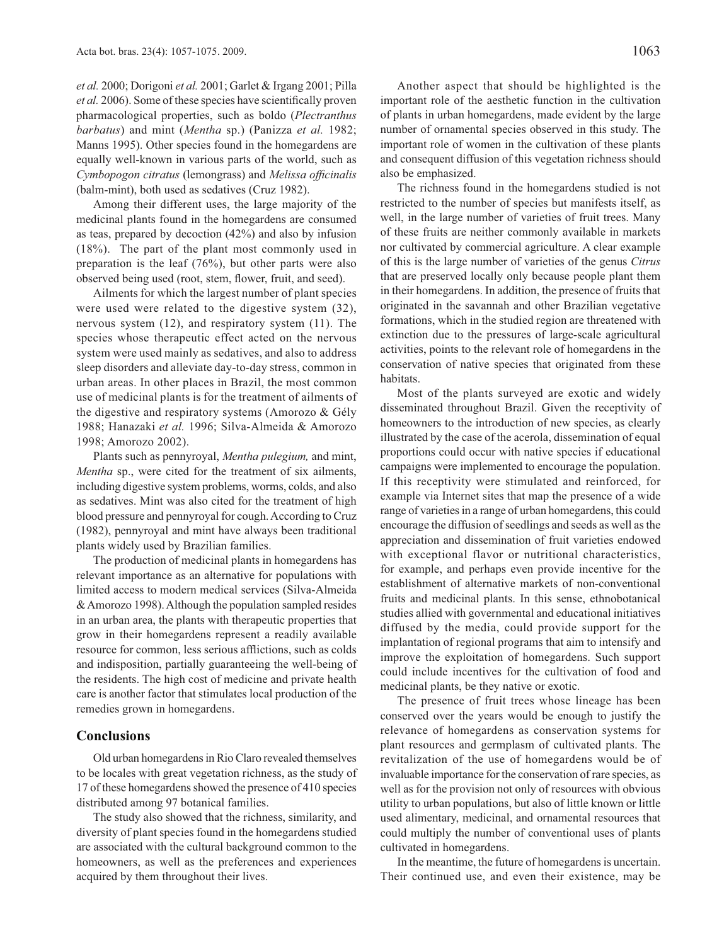*et al.* 2000; Dorigoni *et al.* 2001; Garlet & Irgang 2001; Pilla *et al.* 2006). Some of these species have scientifically proven pharmacological properties, such as boldo (*Plectranthus barbatus*) and mint (*Mentha* sp.) (Panizza *et al.* 1982; Manns 1995). Other species found in the homegardens are equally well-known in various parts of the world, such as *Cymbopogon citratus* (lemongrass) and *Melissa officinalis* (balm-mint), both used as sedatives (Cruz 1982).

Among their different uses, the large majority of the medicinal plants found in the homegardens are consumed as teas, prepared by decoction (42%) and also by infusion (18%). The part of the plant most commonly used in preparation is the leaf (76%), but other parts were also observed being used (root, stem, flower, fruit, and seed).

Ailments for which the largest number of plant species were used were related to the digestive system (32), nervous system (12), and respiratory system (11). The species whose therapeutic effect acted on the nervous system were used mainly as sedatives, and also to address sleep disorders and alleviate day-to-day stress, common in urban areas. In other places in Brazil, the most common use of medicinal plants is for the treatment of ailments of the digestive and respiratory systems (Amorozo & Gély 1988; Hanazaki *et al.* 1996; Silva-Almeida & Amorozo 1998; Amorozo 2002).

Plants such as pennyroyal, *Mentha pulegium,* and mint, *Mentha* sp., were cited for the treatment of six ailments, including digestive system problems, worms, colds, and also as sedatives. Mint was also cited for the treatment of high blood pressure and pennyroyal for cough. According to Cruz (1982), pennyroyal and mint have always been traditional plants widely used by Brazilian families.

The production of medicinal plants in homegardens has relevant importance as an alternative for populations with limited access to modern medical services (Silva-Almeida & Amorozo 1998). Although the population sampled resides in an urban area, the plants with therapeutic properties that grow in their homegardens represent a readily available resource for common, less serious afflictions, such as colds and indisposition, partially guaranteeing the well-being of the residents. The high cost of medicine and private health care is another factor that stimulates local production of the remedies grown in homegardens.

#### **Conclusions**

Old urban homegardens in Rio Claro revealed themselves to be locales with great vegetation richness, as the study of 17 of these homegardens showed the presence of 410 species distributed among 97 botanical families.

The study also showed that the richness, similarity, and diversity of plant species found in the homegardens studied are associated with the cultural background common to the homeowners, as well as the preferences and experiences acquired by them throughout their lives.

Another aspect that should be highlighted is the important role of the aesthetic function in the cultivation of plants in urban homegardens, made evident by the large number of ornamental species observed in this study. The important role of women in the cultivation of these plants and consequent diffusion of this vegetation richness should also be emphasized.

The richness found in the homegardens studied is not restricted to the number of species but manifests itself, as well, in the large number of varieties of fruit trees. Many of these fruits are neither commonly available in markets nor cultivated by commercial agriculture. A clear example of this is the large number of varieties of the genus *Citrus* that are preserved locally only because people plant them in their homegardens. In addition, the presence of fruits that originated in the savannah and other Brazilian vegetative formations, which in the studied region are threatened with extinction due to the pressures of large-scale agricultural activities, points to the relevant role of homegardens in the conservation of native species that originated from these habitats.

Most of the plants surveyed are exotic and widely disseminated throughout Brazil. Given the receptivity of homeowners to the introduction of new species, as clearly illustrated by the case of the acerola, dissemination of equal proportions could occur with native species if educational campaigns were implemented to encourage the population. If this receptivity were stimulated and reinforced, for example via Internet sites that map the presence of a wide range of varieties in a range of urban homegardens, this could encourage the diffusion of seedlings and seeds as well as the appreciation and dissemination of fruit varieties endowed with exceptional flavor or nutritional characteristics, for example, and perhaps even provide incentive for the establishment of alternative markets of non-conventional fruits and medicinal plants. In this sense, ethnobotanical studies allied with governmental and educational initiatives diffused by the media, could provide support for the implantation of regional programs that aim to intensify and improve the exploitation of homegardens. Such support could include incentives for the cultivation of food and medicinal plants, be they native or exotic.

The presence of fruit trees whose lineage has been conserved over the years would be enough to justify the relevance of homegardens as conservation systems for plant resources and germplasm of cultivated plants. The revitalization of the use of homegardens would be of invaluable importance for the conservation of rare species, as well as for the provision not only of resources with obvious utility to urban populations, but also of little known or little used alimentary, medicinal, and ornamental resources that could multiply the number of conventional uses of plants cultivated in homegardens.

In the meantime, the future of homegardens is uncertain. Their continued use, and even their existence, may be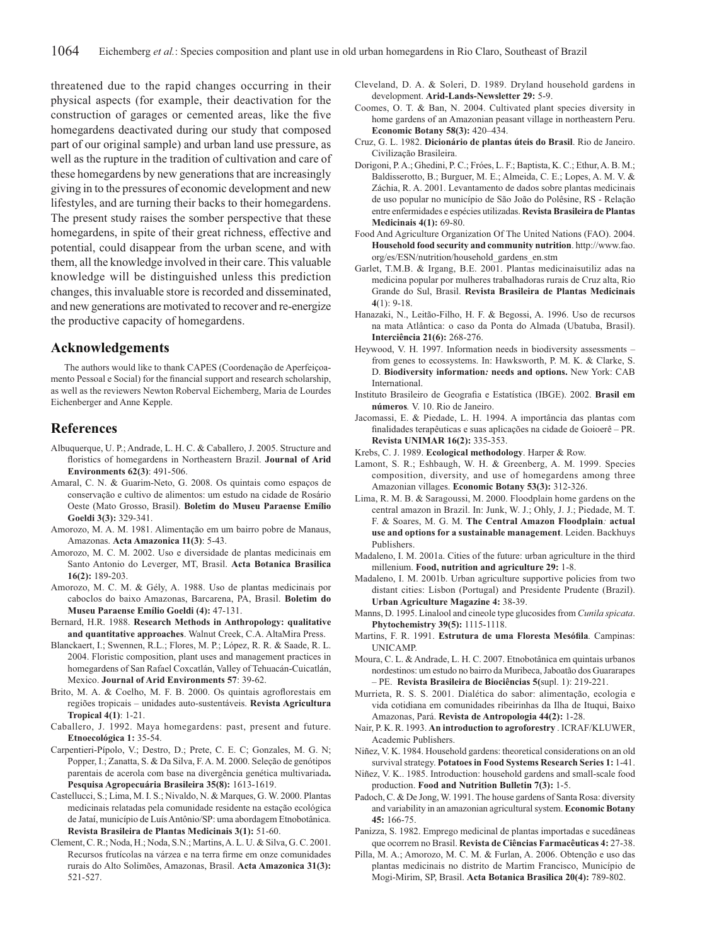threatened due to the rapid changes occurring in their physical aspects (for example, their deactivation for the construction of garages or cemented areas, like the five homegardens deactivated during our study that composed part of our original sample) and urban land use pressure, as well as the rupture in the tradition of cultivation and care of these homegardens by new generations that are increasingly giving in to the pressures of economic development and new lifestyles, and are turning their backs to their homegardens. The present study raises the somber perspective that these homegardens, in spite of their great richness, effective and potential, could disappear from the urban scene, and with them, all the knowledge involved in their care. This valuable knowledge will be distinguished unless this prediction changes, this invaluable store is recorded and disseminated, and new generations are motivated to recover and re-energize the productive capacity of homegardens.

#### **Acknowledgements**

The authors would like to thank CAPES (Coordenação de Aperfeiçoamento Pessoal e Social) for the financial support and research scholarship, as well as the reviewers Newton Roberval Eichemberg, Maria de Lourdes Eichenberger and Anne Kepple.

### **References**

- Albuquerque, U. P.; Andrade, L. H. C. & Caballero, J. 2005. Structure and floristics of homegardens in Northeastern Brazil. Journal of Arid **Environments 62(3)**: 491-506.
- Amaral, C. N. & Guarim-Neto, G. 2008. Os quintais como espaços de conservação e cultivo de alimentos: um estudo na cidade de Rosário Oeste (Mato Grosso, Brasil). **Boletim do Museu Paraense Emílio Goeldi 3(3):** 329-341.
- Amorozo, M. A. M. 1981. Alimentação em um bairro pobre de Manaus, Amazonas. **Acta Amazonica 11(3)**: 5-43.
- Amorozo, M. C. M. 2002. Uso e diversidade de plantas medicinais em Santo Antonio do Leverger, MT, Brasil. **Acta Botanica Brasilica 16(2):** 189-203.
- Amorozo, M. C. M. & Gély, A. 1988. Uso de plantas medicinais por caboclos do baixo Amazonas, Barcarena, PA, Brasil. **Boletim do Museu Paraense Emílio Goeldi (4):** 47-131.
- Bernard, H.R. 1988. **Research Methods in Anthropology: qualitative and quantitative approaches**. Walnut Creek, C.A. AltaMira Press.
- Blanckaert, I.; Swennen, R.L.; Flores, M. P.; López, R. R. & Saade, R. L. 2004. Floristic composition, plant uses and management practices in homegardens of San Rafael Coxcatlán, Valley of Tehuacán-Cuicatlán, Mexico. **Journal of Arid Environments 57**: 39-62.
- Brito, M. A. & Coelho, M. F. B. 2000. Os quintais agroflorestais em regiões tropicais – unidades auto-sustentáveis. **Revista Agricultura Tropical 4(1)**: 1-21.
- Caballero, J. 1992. Maya homegardens: past, present and future. **Etnoecológica 1:** 35-54.
- Carpentieri-Pípolo, V.; Destro, D.; Prete, C. E. C; Gonzales, M. G. N; Popper, I.; Zanatta, S. & Da Silva, F. A. M. 2000. Seleção de genótipos parentais de acerola com base na divergência genética multivariada**. Pesquisa Agropecuária Brasileira 35(8):** 1613-1619.
- Castellucci, S.; Lima, M. I. S.; Nivaldo, N. & Marques, G. W. 2000. Plantas medicinais relatadas pela comunidade residente na estação ecológica de Jataí, município de Luís Antônio/SP: uma abordagem Etnobotânica. **Revista Brasileira de Plantas Medicinais 3(1):** 51-60.
- Clement, C. R.; Noda, H.; Noda, S.N.; Martins, A. L. U. & Silva, G. C. 2001. Recursos frutícolas na várzea e na terra firme em onze comunidades rurais do Alto Solimões, Amazonas, Brasil. **Acta Amazonica 31(3):** 521-527.
- Cleveland, D. A. & Soleri, D. 1989. Dryland household gardens in development. **Arid-Lands-Newsletter 29:** 5-9.
- Coomes, O. T. & Ban, N. 2004. Cultivated plant species diversity in home gardens of an Amazonian peasant village in northeastern Peru. **Economic Botany 58(3):** 420–434.
- Cruz, G. L. 1982. **Dicionário de plantas úteis do Brasil**. Rio de Janeiro. Civilização Brasileira.
- Dorigoni, P. A.; Ghedini, P. C.; Fróes, L. F.; Baptista, K. C.; Ethur, A. B. M.; Baldisserotto, B.; Burguer, M. E.; Almeida, C. E.; Lopes, A. M. V. & Záchia, R. A. 2001. Levantamento de dados sobre plantas medicinais de uso popular no município de São João do Polêsine, RS - Relação entre enfermidades e espécies utilizadas. **Revista Brasileira de Plantas Medicinais 4(1):** 69-80.
- Food And Agriculture Organization Of The United Nations (FAO). 2004. **Household food security and community nutrition**. http://www.fao. org/es/ESN/nutrition/household\_gardens\_en.stm
- Garlet, T.M.B. & Irgang, B.E. 2001. Plantas medicinaisutiliz adas na medicina popular por mulheres trabalhadoras rurais de Cruz alta, Rio Grande do Sul, Brasil. **Revista Brasileira de Plantas Medicinais**   $4(1) \cdot 9 - 18$
- Hanazaki, N., Leitão-Filho, H. F. & Begossi, A. 1996. Uso de recursos na mata Atlântica: o caso da Ponta do Almada (Ubatuba, Brasil). **Interciência 21(6):** 268-276.
- Heywood, V. H. 1997. Information needs in biodiversity assessments from genes to ecossystems. In: Hawksworth, P. M. K. & Clarke, S. D. **Biodiversity information***:* **needs and options.** New York: CAB International.
- Instituto Brasileiro de Geografia e Estatística (IBGE). 2002. **Brasil em números***.* V. 10. Rio de Janeiro.
- Jacomassi, E. & Piedade, L. H. 1994. A importância das plantas com finalidades terapêuticas e suas aplicações na cidade de Goioerê - PR. **Revista UNIMAR 16(2):** 335-353.
- Krebs, C. J. 1989. **Ecological methodology**. Harper & Row.
- Lamont, S. R.; Eshbaugh, W. H. & Greenberg, A. M. 1999. Species composition, diversity, and use of homegardens among three Amazonian villages. **Economic Botany 53(3):** 312-326.
- Lima, R. M. B. & Saragoussi, M. 2000. Floodplain home gardens on the central amazon in Brazil. In: Junk, W. J.; Ohly, J. J.; Piedade, M. T. F. & Soares, M. G. M. **The Central Amazon Floodplain***:* **actual use and options for a sustainable management**. Leiden. Backhuys Publishers.
- Madaleno, I. M. 2001a. Cities of the future: urban agriculture in the third millenium. **Food, nutrition and agriculture 29:** 1-8.
- Madaleno, I. M. 2001b. Urban agriculture supportive policies from two distant cities: Lisbon (Portugal) and Presidente Prudente (Brazil). **Urban Agriculture Magazine 4:** 38-39.
- Manns, D. 1995. Linalool and cineole type glucosides from *Cunila spicata*. **Phytochemistry 39(5):** 1115-1118.
- Martins, F. R. 1991. **Estrutura de uma Floresta Mesófila**. Campinas: UNICAMP.
- Moura, C. L. & Andrade, L. H. C. 2007. Etnobotânica em quintais urbanos nordestinos: um estudo no bairro da Muribeca, Jaboatão dos Guararapes – PE. **Revista Brasileira de Biociências 5(**supl. 1): 219-221.
- Murrieta, R. S. S. 2001. Dialética do sabor: alimentação, ecologia e vida cotidiana em comunidades ribeirinhas da Ilha de Ituqui, Baixo Amazonas, Pará. **Revista de Antropologia 44(2):** 1-28.
- Nair, P. K. R. 1993. **An introduction to agroforestry** . ICRAF/KLUWER, Academic Publishers.
- Niñez, V. K. 1984. Household gardens: theoretical considerations on an old survival strategy. **Potatoes in Food Systems Research Series 1:** 1-41.
- Niñez, V. K.. 1985. Introduction: household gardens and small-scale food production. **Food and Nutrition Bulletin 7(3):** 1-5.
- Padoch, C. & De Jong, W. 1991. The house gardens of Santa Rosa: diversity and variability in an amazonian agricultural system. **Economic Botany 45:** 166-75.
- Panizza, S. 1982. Emprego medicinal de plantas importadas e sucedâneas que ocorrem no Brasil. **Revista de Ciências Farmacêuticas 4:** 27-38.
- Pilla, M. A.; Amorozo, M. C. M. & Furlan, A. 2006. Obtenção e uso das plantas medicinais no distrito de Martim Francisco, Município de Mogi-Mirim, SP, Brasil. **Acta Botanica Brasilica 20(4):** 789-802.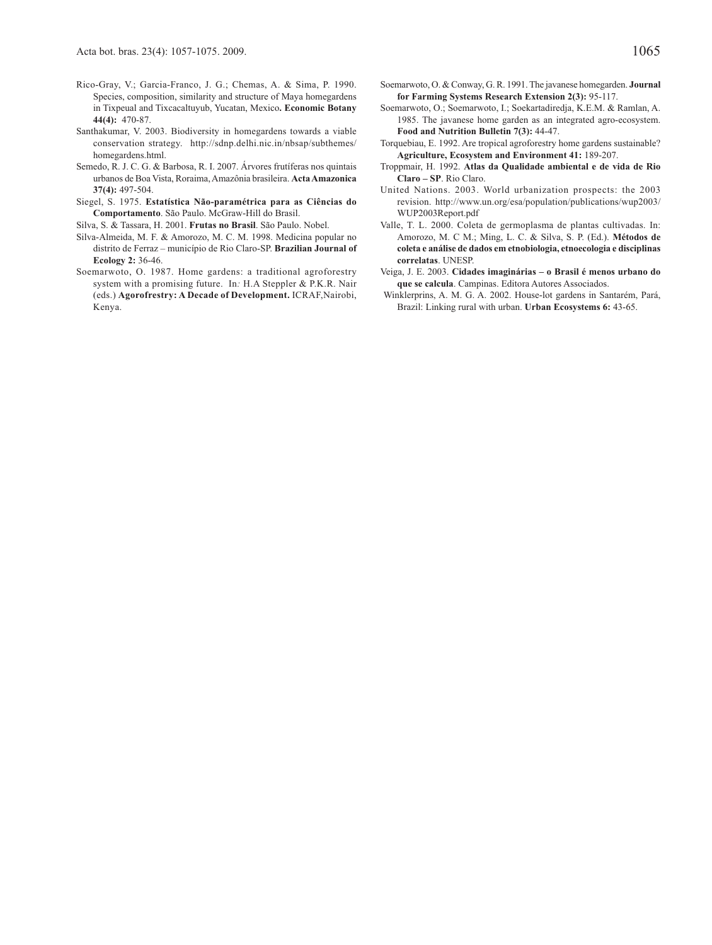- Rico-Gray, V.; Garcia-Franco, J. G.; Chemas, A. & Sima, P. 1990. Species, composition, similarity and structure of Maya homegardens in Tixpeual and Tixcacaltuyub, Yucatan, Mexico**. Economic Botany 44(4):** 470-87.
- Santhakumar, V. 2003. Biodiversity in homegardens towards a viable conservation strategy. http://sdnp.delhi.nic.in/nbsap/subthemes/ homegardens.html.
- Semedo, R. J. C. G. & Barbosa, R. I. 2007. Árvores frutíferas nos quintais urbanos de Boa Vista, Roraima, Amazônia brasileira. **Acta Amazonica 37(4):** 497-504.
- Siegel, S. 1975. **Estatística Não-paramétrica para as Ciências do Comportamento**. São Paulo. McGraw-Hill do Brasil.

Silva, S. & Tassara, H. 2001. **Frutas no Brasil**. São Paulo. Nobel.

- Silva-Almeida, M. F. & Amorozo, M. C. M. 1998. Medicina popular no distrito de Ferraz – município de Rio Claro-SP. **Brazilian Journal of Ecology 2:** 36-46.
- Soemarwoto, O. 1987. Home gardens: a traditional agroforestry system with a promising future. In*:* H.A Steppler & P.K.R. Nair (eds.) **Agorofrestry: A Decade of Development.** ICRAF,Nairobi, Kenya.
- Soemarwoto, O. & Conway, G. R. 1991. The javanese homegarden. **Journal for Farming Systems Research Extension 2(3):** 95-117.
- Soemarwoto, O.; Soemarwoto, I.; Soekartadiredja, K.E.M. & Ramlan, A. 1985. The javanese home garden as an integrated agro-ecosystem. **Food and Nutrition Bulletin 7(3):** 44-47.
- Torquebiau, E. 1992. Are tropical agroforestry home gardens sustainable? **Agriculture, Ecosystem and Environment 41:** 189-207.
- Troppmair, H. 1992. **Atlas da Qualidade ambiental e de vida de Rio Claro – SP**. Rio Claro.
- United Nations. 2003. World urbanization prospects: the 2003 revision. http://www.un.org/esa/population/publications/wup2003/ WUP2003Report.pdf
- Valle, T. L. 2000. Coleta de germoplasma de plantas cultivadas. In: Amorozo, M. C M.; Ming, L. C. & Silva, S. P. (Ed.). **Métodos de coleta e análise de dados em etnobiologia, etnoecologia e disciplinas correlatas**. UNESP.
- Veiga, J. E. 2003. **Cidades imaginárias o Brasil é menos urbano do que se calcula**. Campinas. Editora Autores Associados.
- Winklerprins, A. M. G. A. 2002. House-lot gardens in Santarém, Pará, Brazil: Linking rural with urban. **Urban Ecosystems 6:** 43-65.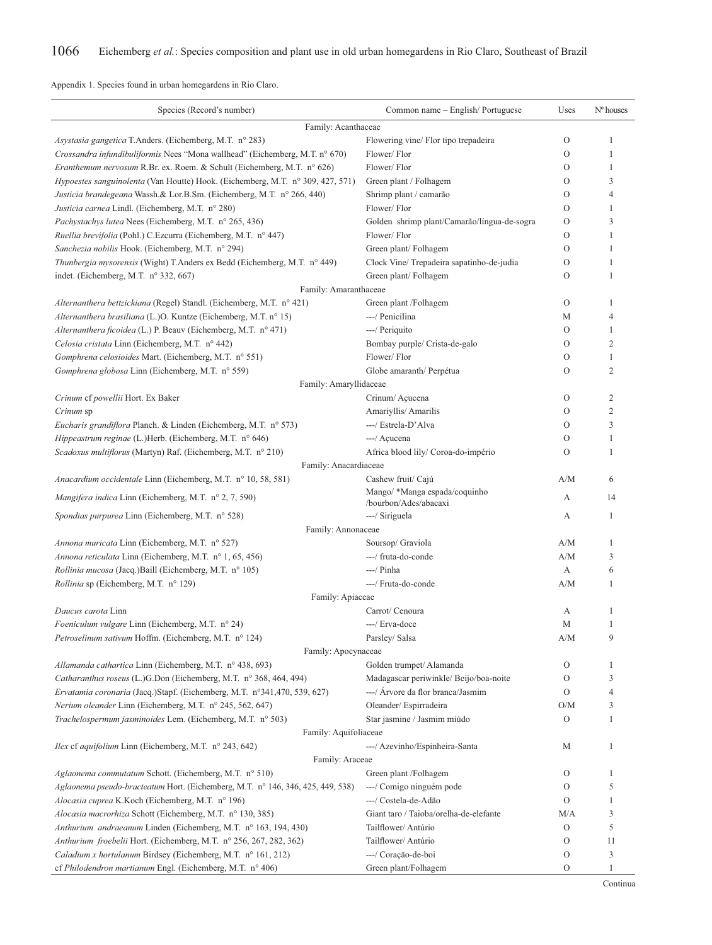Appendix 1. Species found in urban homegardens in Rio Claro.

| Species (Record's number)                                                       | Common name - English/Portuguese                       | Uses                    | $No$ houses    |
|---------------------------------------------------------------------------------|--------------------------------------------------------|-------------------------|----------------|
| Family: Acanthaceae                                                             |                                                        |                         |                |
| Asystasia gangetica T.Anders. (Eichemberg, M.T. n° 283)                         | Flowering vine/ Flor tipo trepadeira                   | $\mathcal{O}$           | 1              |
| Crossandra infundibuliformis Nees "Mona wallhead" (Eichemberg, M.T. nº 670)     | Flower/Flor                                            | $\mathcal{O}$           | 1              |
| Eranthemum nervosum R.Br. ex. Roem. & Schult (Eichemberg, M.T. n° 626)          | Flower/Flor                                            | O                       | 1              |
| Hypoestes sanguinolenta (Van Houtte) Hook. (Eichemberg, M.T. n° 309, 427, 571)  | Green plant / Folhagem                                 | $\Omega$                | 3              |
| Justicia brandegeana Wassh.& Lor.B.Sm. (Eichemberg, M.T. nº 266, 440)           | Shrimp plant / camarão                                 | O                       | $\overline{4}$ |
| Justicia carnea Lindl. (Eichemberg, M.T. n° 280)                                | Flower/Flor                                            | O                       | 1              |
| Pachystachys lutea Nees (Eichemberg, M.T. nº 265, 436)                          | Golden shrimp plant/Camarão/língua-de-sogra            | $\mathcal{O}$           | 3              |
| Ruellia brevifolia (Pohl.) C.Ezcurra (Eichemberg, M.T. n° 447)                  | Flower/Flor                                            | O                       | $\mathbf{1}$   |
| Sanchezia nobilis Hook. (Eichemberg, M.T. n° 294)                               | Green plant/Folhagem                                   | O                       | 1              |
| Thunbergia mysorensis (Wight) T.Anders ex Bedd (Eichemberg, M.T. n° 449)        | Clock Vine/Trepadeira sapatinho-de-judia               | $\mathcal{O}$           | 1              |
| indet. (Eichemberg, M.T. $n^{\circ}$ 332, 667)                                  | Green plant/Folhagem                                   | O                       | 1              |
| Family: Amaranthaceae                                                           |                                                        |                         |                |
| Alternanthera bettzickiana (Regel) Standl. (Eichemberg, M.T. n° 421)            | Green plant /Folhagem                                  | $\mathcal{O}$           | 1              |
| Alternanthera brasiliana (L.)O. Kuntze (Eichemberg, M.T. nº 15)                 | ---/ Penicilina                                        | М                       | $\overline{4}$ |
| Alternanthera ficoidea (L.) P. Beauv (Eichemberg, M.T. n° 471)                  | ---/ Periquito                                         | $\mathcal{O}$           | 1              |
| Celosia cristata Linn (Eichemberg, M.T. nº 442)                                 | Bombay purple/ Crista-de-galo                          | $\mathcal{O}$           | $\overline{2}$ |
| Gomphrena celosioides Mart. (Eichemberg, M.T. nº 551)                           | Flower/Flor                                            | O                       | 1              |
| Gomphrena globosa Linn (Eichemberg, M.T. n° 559)                                | Globe amaranth/ Perpétua                               | O                       | $\overline{2}$ |
| Family: Amaryllidaceae                                                          |                                                        |                         |                |
| Crinum cf powellii Hort. Ex Baker                                               | Crinum/Açucena                                         | $\mathcal{O}$           | $\overline{2}$ |
| Crinum sp                                                                       | Amariyllis/ Amarilis                                   | O                       | $\overline{2}$ |
| <i>Eucharis grandiflora</i> Planch. & Linden (Eichemberg, M.T. n° 573)          | ---/ Estrela-D'Alva                                    | $\Omega$                | 3              |
| Hippeastrum reginae (L.)Herb. (Eichemberg, M.T. n° 646)                         | ---/ Açucena                                           | O                       | 1              |
| Scadoxus multiflorus (Martyn) Raf. (Eichemberg, M.T. n° 210)                    | Africa blood lily/ Coroa-do-império                    | O                       | 1              |
| Family: Anacardiaceae                                                           |                                                        |                         |                |
| Anacardium occidentale Linn (Eichemberg, M.T. n° 10, 58, 581)                   | Cashew fruit/ Cajú                                     | A/M                     | 6              |
| Mangifera indica Linn (Eichemberg, M.T. n° 2, 7, 590)                           | Mango/ *Manga espada/coquinho<br>/bourbon/Ades/abacaxi | А                       | 14             |
| Spondias purpurea Linn (Eichemberg, M.T. n° 528)                                | ---/ Siriguela                                         | А                       | 1              |
| Family: Annonaceae                                                              |                                                        |                         |                |
| Annona muricata Linn (Eichemberg, M.T. n° 527)                                  | Soursop/ Graviola                                      | A/M                     | 1              |
| Annona reticulata Linn (Eichemberg, M.T. n° 1, 65, 456)                         | ---/ fruta-do-conde                                    | A/M                     | 3              |
| Rollinia mucosa (Jacq.)Baill (Eichemberg, M.T. nº 105)                          | $---/$ Pinha                                           | А                       | 6              |
| <i>Rollinia</i> sp (Eichemberg, M.T. n° 129)                                    | ---/ Fruta-do-conde                                    | A/M                     | 1              |
| Family: Apiaceae                                                                |                                                        |                         |                |
| Daucus carota Linn                                                              | Carrot/ Cenoura                                        | А                       | -1             |
| <i>Foeniculum vulgare</i> Linn (Eichemberg, M.T. n° 24)                         | ---/ Erva-doce                                         | М                       | 1              |
| Petroselinum sativum Hoffm. (Eichemberg, M.T. nº 124)                           | Parsley/ Salsa                                         | $\mathrm{A}/\mathrm{M}$ | 9              |
| Family: Apocynaceae                                                             |                                                        |                         |                |
| Allamanda cathartica Linn (Eichemberg, M.T. n° 438, 693)                        | Golden trumpet/ Alamanda                               | O                       | 1              |
| Catharanthus roseus (L.)G.Don (Eichemberg, M.T. n° 368, 464, 494)               | Madagascar periwinkle/ Beijo/boa-noite                 | $\mathcal{O}$           | 3              |
| Ervatamia coronaria (Jacq.)Stapf. (Eichemberg, M.T. n°341,470, 539, 627)        | ---/ Árvore da flor branca/Jasmim                      | $\mathcal{O}$           | $\overline{4}$ |
| Nerium oleander Linn (Eichemberg, M.T. nº 245, 562, 647)                        | Oleander/ Espirradeira                                 | O/M                     | 3              |
| Trachelospermum jasminoides Lem. (Eichemberg, M.T. n° 503)                      | Star jasmine / Jasmim miúdo                            | $\mathcal{O}$           | 1              |
| Family: Aquifoliaceae                                                           |                                                        |                         |                |
| <i>Ilex</i> cf <i>aquifolium</i> Linn (Eichemberg, M.T. n° 243, 642)            | ---/ Azevinho/Espinheira-Santa                         | М                       | 1              |
| Family: Araceae                                                                 |                                                        |                         |                |
| Aglaonema commutatum Schott. (Eichemberg, M.T. nº 510)                          | Green plant /Folhagem                                  | O                       | $\mathbf{1}$   |
| Aglaonema pseudo-bracteatum Hort. (Eichemberg, M.T. n° 146, 346, 425, 449, 538) | ---/ Comigo ninguém pode                               | $\mathcal{O}$           | 5              |
| Alocasia cuprea K.Koch (Eichemberg, M.T. n° 196)                                | ---/ Costela-de-Adão                                   | $\mathcal{O}$           | 1              |
| Alocasia macrorhiza Schott (Eichemberg, M.T. nº 130, 385)                       | Giant taro / Taioba/orelha-de-elefante                 | M/A                     | 3              |
| Anthurium andraeanum Linden (Eichemberg, M.T. n° 163, 194, 430)                 | Tailflower/Antúrio                                     | $\mathcal{O}$           | 5              |
| Anthurium froebelii Hort. (Eichemberg, M.T. nº 256, 267, 282, 362)              | Tailflower/ Antúrio                                    | O                       | 11             |
| Caladium x hortulanum Birdsey (Eichemberg, M.T. nº 161, 212)                    | ---/ Coração-de-boi                                    | O                       | 3              |
| cf Philodendron martianum Engl. (Eichemberg, M.T. n° 406)                       | Green plant/Folhagem                                   | $\mathcal{O}$           | $\mathbf{1}$   |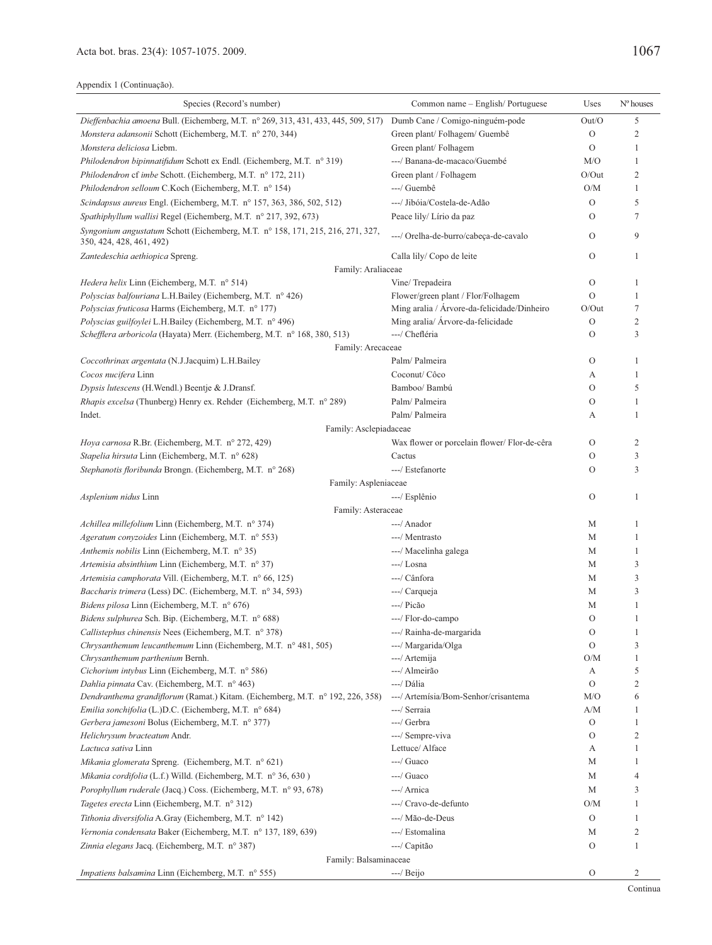| Species (Record's number)                                                                                  | Common name - English/Portuguese             | Uses          | $No$ houses    |
|------------------------------------------------------------------------------------------------------------|----------------------------------------------|---------------|----------------|
| Dieffenbachia amoena Bull. (Eichemberg, M.T. nº 269, 313, 431, 433, 445, 509, 517)                         | Dumb Cane / Comigo-ninguém-pode              | Out/O         | 5              |
| Monstera adansonii Schott (Eichemberg, M.T. nº 270, 344)                                                   | Green plant/Folhagem/Guembê                  | $\mathbf{O}$  | $\overline{2}$ |
| Monstera deliciosa Liebm.                                                                                  | Green plant/Folhagem                         | $\circ$       | 1              |
| Philodendron bipinnatifidum Schott ex Endl. (Eichemberg, M.T. n° 319)                                      | ---/ Banana-de-macaco/Guembé                 | M/O           | 1              |
| Philodendron cf imbe Schott. (Eichemberg, M.T. nº 172, 211)                                                | Green plant / Folhagem                       | $O/O$ ut      | $\overline{2}$ |
| Philodendron selloum C.Koch (Eichemberg, M.T. n° 154)                                                      | ---/ Guembê                                  | O/M           | 1              |
| Scindapsus aureus Engl. (Eichemberg, M.T. n° 157, 363, 386, 502, 512)                                      | ---/ Jibóia/Costela-de-Adão                  | $\circ$       | 5              |
| Spathiphyllum wallisi Regel (Eichemberg, M.T. nº 217, 392, 673)                                            | Peace lily/ Lírio da paz                     | $\circ$       | 7              |
| Syngonium angustatum Schott (Eichemberg, M.T. n° 158, 171, 215, 216, 271, 327,<br>350, 424, 428, 461, 492) | ---/ Orelha-de-burro/cabeça-de-cavalo        | $\mathcal{O}$ | 9              |
| Zantedeschia aethiopica Spreng.                                                                            | Calla lily/ Copo de leite                    | $\mathbf{O}$  | 1              |
| Family: Araliaceae                                                                                         |                                              |               |                |
| Hedera helix Linn (Eichemberg, M.T. n° 514)                                                                | Vine/Trepadeira                              | $\circ$       | 1              |
| Polyscias balfouriana L.H.Bailey (Eichemberg, M.T. nº 426)                                                 | Flower/green plant / Flor/Folhagem           | $\Omega$      | 1              |
| Polyscias fruticosa Harms (Eichemberg, M.T. nº 177)                                                        | Ming aralia / Arvore-da-felicidade/Dinheiro  | $O/O$ ut      | 7              |
| Polyscias guilfoylei L.H.Bailey (Eichemberg, M.T. nº 496)                                                  | Ming aralia/ Árvore-da-felicidade            | $\mathbf{O}$  | $\overline{c}$ |
| Schefflera arboricola (Hayata) Merr. (Eichemberg, M.T. n° 168, 380, 513)                                   | ---/ Chefléria                               | $\circ$       | 3              |
| Family: Arecaceae                                                                                          |                                              |               |                |
| Coccothrinax argentata (N.J.Jacquim) L.H.Bailey                                                            | Palm/ Palmeira                               | $\mathcal{O}$ | 1              |
| Cocos nucifera Linn                                                                                        | Coconut/ Côco                                | А             | 1              |
| Dypsis lutescens (H.Wendl.) Beentje & J.Dransf.                                                            | Bamboo/ Bambú                                | $\circ$       | 5              |
| <i>Rhapis excelsa</i> (Thunberg) Henry ex. Rehder (Eichemberg, M.T. n° 289)                                | Palm/Palmeira                                | $\circ$       | 1              |
| Indet.                                                                                                     | Palm/ Palmeira                               | А             | 1              |
| Family: Asclepiadaceae                                                                                     |                                              |               |                |
| Hoya carnosa R.Br. (Eichemberg, M.T. n° 272, 429)                                                          | Wax flower or porcelain flower/ Flor-de-cêra | $\circ$       | $\overline{c}$ |
| Stapelia hirsuta Linn (Eichemberg, M.T. n° 628)                                                            | Cactus                                       | $\circ$       | 3              |
| Stephanotis floribunda Brongn. (Eichemberg, M.T. n° 268)                                                   | ---/ Estefanorte                             | $\circ$       | 3              |
| Family: Aspleniaceae                                                                                       |                                              |               | $\mathbf{1}$   |
| Asplenium nidus Linn                                                                                       | ---/ Esplênio                                | $\circ$       |                |
| Family: Asteraceae                                                                                         | ---/ Anador                                  | М             | 1              |
| <i>Achillea millefolium</i> Linn (Eichemberg, M.T. n° 374)                                                 | ---/ Mentrasto                               | М             | 1              |
| Ageratum conyzoides Linn (Eichemberg, M.T. n° 553)<br>Anthemis nobilis Linn (Eichemberg, M.T. n° 35)       | ---/ Macelinha galega                        | М             | 1              |
| Artemisia absinthium Linn (Eichemberg, M.T. n° 37)                                                         | $---/$ Losna                                 | М             | 3              |
| Artemisia camphorata Vill. (Eichemberg, M.T. n° 66, 125)                                                   | ---/ Cânfora                                 | М             | 3              |
| Baccharis trimera (Less) DC. (Eichemberg, M.T. nº 34, 593)                                                 | ---/ Carqueja                                | М             | 3              |
| Bidens pilosa Linn (Eichemberg, M.T. n° 676)                                                               | ---/ Picão                                   | М             | 1              |
| Bidens sulphurea Sch. Bip. (Eichemberg, M.T. n° 688)                                                       | ---/ Flor-do-campo                           | $\circ$       | 1              |
| Callistephus chinensis Nees (Eichemberg, M.T. nº 378)                                                      | ---/ Rainha-de-margarida                     | $\Omega$      | 1              |
| Chrysanthemum leucanthemum Linn (Eichemberg, M.T. n° 481, 505)                                             | ---/ Margarida/Olga                          | $\mathcal{O}$ | 3              |
| Chrysanthemum parthenium Bernh.                                                                            | ---/ Artemija                                | O/M           | 1              |
| Cichorium intybus Linn (Eichemberg, M.T. n° 586)                                                           | ---/ Almeirão                                | А             | 5              |
| Dahlia pinnata Cav. (Eichemberg, M.T. nº 463)                                                              | ---/ Dália                                   | $\mathcal{O}$ | $\overline{2}$ |
| Dendranthema grandiflorum (Ramat.) Kitam. (Eichemberg, M.T. n° 192, 226, 358)                              | ---/ Artemísia/Bom-Senhor/crisantema         | M/O           | 6              |
| Emilia sonchifolia (L.)D.C. (Eichemberg, M.T. n° 684)                                                      | ---/ Serraia                                 | A/M           | 1              |
| Gerbera jamesoni Bolus (Eichemberg, M.T. nº 377)                                                           | ---/ Gerbra                                  | $\rm{O}$      | 1              |
| Helichrysum bracteatum Andr.                                                                               | ---/ Sempre-viva                             | $\circ$       | $\overline{2}$ |
| Lactuca sativa Linn                                                                                        | Lettuce/Alface                               | А             | 1              |
| Mikania glomerata Spreng. (Eichemberg, M.T. n° 621)                                                        | ---/ Guaco                                   | М             | 1              |
| Mikania cordifolia (L.f.) Willd. (Eichemberg, M.T. nº 36, 630)                                             | $---/$ Guaco                                 | М             | 4              |
| Porophyllum ruderale (Jacq.) Coss. (Eichemberg, M.T. nº 93, 678)                                           | ---/ Arnica                                  | М             | 3              |
| Tagetes erecta Linn (Eichemberg, M.T. n° 312)                                                              | ---/ Cravo-de-defunto                        | O/M           | 1              |
| Tithonia diversifolia A.Gray (Eichemberg, M.T. n° 142)                                                     | ---/ Mão-de-Deus                             | $\rm{O}$      | 1              |
| Vernonia condensata Baker (Eichemberg, M.T. nº 137, 189, 639)                                              | ---/ Estomalina                              | М             | 2              |
| Zinnia elegans Jacq. (Eichemberg, M.T. n° 387)                                                             | ---/ Capitão                                 | $\circ$       | 1              |
| Family: Balsaminaceae                                                                                      |                                              |               |                |
| <i>Impatiens balsamina</i> Linn (Eichemberg, M.T. n° 555)                                                  | $---/$ Beijo                                 | $\mathcal{O}$ | $\overline{2}$ |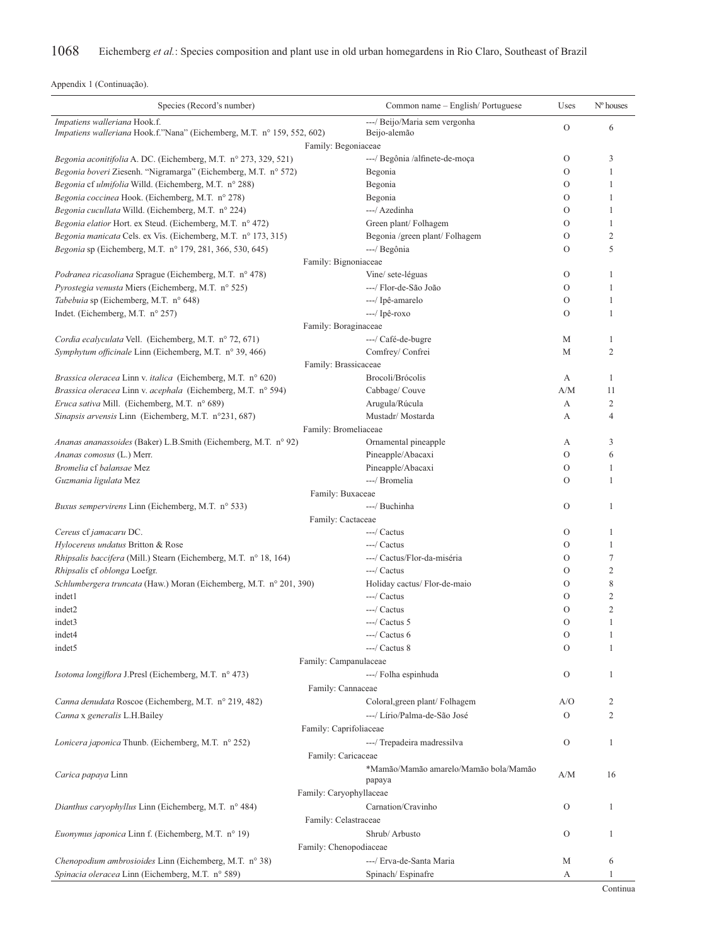| Impatiens walleriana Hook.f.<br>---/ Beijo/Maria sem vergonha<br>$\mathcal{O}$<br>6<br>Impatiens walleriana Hook.f."Nana" (Eichemberg, M.T. nº 159, 552, 602)<br>Beijo-alemão<br>Family: Begoniaceae<br>$\mathcal{O}$<br>3<br>Begonia aconitifolia A. DC. (Eichemberg, M.T. nº 273, 329, 521)<br>---/ Begônia /alfinete-de-moça<br>$\circ$<br>Begonia boveri Ziesenh. "Nigramarga" (Eichemberg, M.T. n° 572)<br>Begonia<br>1<br>Begonia cf ulmifolia Willd. (Eichemberg, M.T. n° 288)<br>Begonia<br>O<br>1<br>Begonia coccinea Hook. (Eichemberg, M.T. nº 278)<br>Begonia<br>O<br>1<br>---/ Azedinha<br>Begonia cucullata Willd. (Eichemberg, M.T. nº 224)<br>O<br>1<br>Begonia elatior Hort. ex Steud. (Eichemberg, M.T. nº 472)<br>Green plant/Folhagem<br>$\circ$<br>1<br>$\overline{2}$<br>Begonia manicata Cels. ex Vis. (Eichemberg, M.T. nº 173, 315)<br>Begonia /green plant/ Folhagem<br>$\circ$<br><i>Begonia</i> sp (Eichemberg, M.T. n° 179, 281, 366, 530, 645)<br>---/ Begônia<br>O<br>5<br>Family: Bignoniaceae<br><i>Podranea ricasoliana Sprague (Eichemberg, M.T. nº 478)</i><br>Vine/ sete-léguas<br>O<br>1<br>Pyrostegia venusta Miers (Eichemberg, M.T. nº 525)<br>---/ Flor-de-São João<br>$\mathcal{O}$<br>1<br>Tabebuia sp (Eichemberg, M.T. n° 648)<br>---/ Ipê-amarelo<br>O<br>1<br>---/ Ipê-roxo<br>Indet. (Eichemberg, M.T. $n^{\circ}$ 257)<br>$\Omega$<br>1<br>Family: Boraginaceae<br>---/ Café-de-bugre<br>Cordia ecalyculata Vell. (Eichemberg, M.T. nº 72, 671)<br>М<br>1<br>Comfrey/Confrei<br>$\overline{2}$<br>Symphytum officinale Linn (Eichemberg, M.T. n° 39, 466)<br>М<br>Family: Brassicaceae<br>Brassica oleracea Linn v. italica (Eichemberg, M.T. nº 620)<br>Brocoli/Brócolis<br>А<br>1<br>Brassica oleracea Linn v. acephala (Eichemberg, M.T. nº 594)<br>Cabbage/ Couve<br>A/M<br>11<br>Eruca sativa Mill. (Eichemberg, M.T. n° 689)<br>2<br>Arugula/Rúcula<br>А<br>Mustadr/Mostarda<br>Sinapsis arvensis Linn (Eichemberg, M.T. n°231, 687)<br>4<br>А<br>Family: Bromeliaceae<br>Ananas ananassoides (Baker) L.B.Smith (Eichemberg, M.T. n° 92)<br>Ornamental pineapple<br>3<br>А<br>$\mathcal{O}$<br>Pineapple/Abacaxi<br>6<br>Ananas comosus (L.) Merr.<br>Pineapple/Abacaxi<br>Bromelia cf balansae Mez<br>O<br>1<br>---/ Bromelia<br>O<br>Guzmania ligulata Mez<br>1<br>Family: Buxaceae<br>---/ Buchinha<br>$\Omega$<br>1<br><i>Buxus sempervirens</i> Linn (Eichemberg, M.T. n° 533)<br>Family: Cactaceae<br>---/ Cactus<br>Cereus cf jamacaru DC.<br>O<br>1<br>Hylocereus undatus Britton & Rose<br>---/ Cactus<br>O<br>1<br>Rhipsalis baccifera (Mill.) Stearn (Eichemberg, M.T. n° 18, 164)<br>---/ Cactus/Flor-da-miséria<br>O<br>7<br>Rhipsalis cf oblonga Loefgr.<br>---/ Cactus<br>$\mathcal{O}$<br>$\mathfrak{2}$<br>8<br>Schlumbergera truncata (Haw.) Moran (Eichemberg, M.T. n° 201, 390)<br>Holiday cactus/ Flor-de-maio<br>O<br>$\overline{c}$<br>---/ Cactus<br>indet1<br>O<br>$\overline{2}$<br>---/ Cactus<br>indet2<br>$\circ$<br>indet3<br>$---/$ Cactus 5<br>O<br>1<br>indet4<br>---/ Cactus 6<br>$\rm{O}$<br>1<br>---/ Cactus 8<br>$\circ$<br>indet <sub>5</sub><br>1<br>Family: Campanulaceae<br>Isotoma longiflora J.Presl (Eichemberg, M.T. nº 473)<br>---/ Folha espinhuda<br>O<br>1<br>Family: Cannaceae<br>Canna denudata Roscoe (Eichemberg, M.T. nº 219, 482)<br>Coloral, green plant/Folhagem<br>A/O<br>2<br>Canna x generalis L.H.Bailey<br>---/ Lírio/Palma-de-São José<br>$\overline{2}$<br>O<br>Family: Caprifoliaceae<br>---/ Trepadeira madressilva<br>Lonicera japonica Thunb. (Eichemberg, M.T. nº 252)<br>O<br>1<br>Family: Caricaceae<br>*Mamão/Mamão amarelo/Mamão bola/Mamão<br>Carica papaya Linn<br>A/M<br>16<br>papaya<br>Family: Caryophyllaceae<br>Carnation/Cravinho<br>Dianthus caryophyllus Linn (Eichemberg, M.T. n° 484)<br>O<br>1<br>Family: Celastraceae<br>Shrub/Arbusto<br><i>Euonymus japonica</i> Linn f. (Eichemberg, M.T. n° 19)<br>O<br>1<br>Family: Chenopodiaceae<br>Chenopodium ambrosioides Linn (Eichemberg, M.T. n° 38)<br>---/ Erva-de-Santa Maria<br>М<br>6<br>Spinacia oleracea Linn (Eichemberg, M.T. nº 589)<br>Spinach/Espinafre<br>А<br>1 | Species (Record's number) | Common name - English/Portuguese | Uses | $No$ houses |
|---------------------------------------------------------------------------------------------------------------------------------------------------------------------------------------------------------------------------------------------------------------------------------------------------------------------------------------------------------------------------------------------------------------------------------------------------------------------------------------------------------------------------------------------------------------------------------------------------------------------------------------------------------------------------------------------------------------------------------------------------------------------------------------------------------------------------------------------------------------------------------------------------------------------------------------------------------------------------------------------------------------------------------------------------------------------------------------------------------------------------------------------------------------------------------------------------------------------------------------------------------------------------------------------------------------------------------------------------------------------------------------------------------------------------------------------------------------------------------------------------------------------------------------------------------------------------------------------------------------------------------------------------------------------------------------------------------------------------------------------------------------------------------------------------------------------------------------------------------------------------------------------------------------------------------------------------------------------------------------------------------------------------------------------------------------------------------------------------------------------------------------------------------------------------------------------------------------------------------------------------------------------------------------------------------------------------------------------------------------------------------------------------------------------------------------------------------------------------------------------------------------------------------------------------------------------------------------------------------------------------------------------------------------------------------------------------------------------------------------------------------------------------------------------------------------------------------------------------------------------------------------------------------------------------------------------------------------------------------------------------------------------------------------------------------------------------------------------------------------------------------------------------------------------------------------------------------------------------------------------------------------------------------------------------------------------------------------------------------------------------------------------------------------------------------------------------------------------------------------------------------------------------------------------------------------------------------------------------------------------------------------------------------------------------------------------------------------------------------------------------------------------------------------------------------------------------------------------------------------------------------------------------------------------------------------------------------------------------------------------------------------------------------------------------------------------------------------------------------------------------------------------------------------------------|---------------------------|----------------------------------|------|-------------|
|                                                                                                                                                                                                                                                                                                                                                                                                                                                                                                                                                                                                                                                                                                                                                                                                                                                                                                                                                                                                                                                                                                                                                                                                                                                                                                                                                                                                                                                                                                                                                                                                                                                                                                                                                                                                                                                                                                                                                                                                                                                                                                                                                                                                                                                                                                                                                                                                                                                                                                                                                                                                                                                                                                                                                                                                                                                                                                                                                                                                                                                                                                                                                                                                                                                                                                                                                                                                                                                                                                                                                                                                                                                                                                                                                                                                                                                                                                                                                                                                                                                                                                                                                                           |                           |                                  |      |             |
|                                                                                                                                                                                                                                                                                                                                                                                                                                                                                                                                                                                                                                                                                                                                                                                                                                                                                                                                                                                                                                                                                                                                                                                                                                                                                                                                                                                                                                                                                                                                                                                                                                                                                                                                                                                                                                                                                                                                                                                                                                                                                                                                                                                                                                                                                                                                                                                                                                                                                                                                                                                                                                                                                                                                                                                                                                                                                                                                                                                                                                                                                                                                                                                                                                                                                                                                                                                                                                                                                                                                                                                                                                                                                                                                                                                                                                                                                                                                                                                                                                                                                                                                                                           |                           |                                  |      |             |
|                                                                                                                                                                                                                                                                                                                                                                                                                                                                                                                                                                                                                                                                                                                                                                                                                                                                                                                                                                                                                                                                                                                                                                                                                                                                                                                                                                                                                                                                                                                                                                                                                                                                                                                                                                                                                                                                                                                                                                                                                                                                                                                                                                                                                                                                                                                                                                                                                                                                                                                                                                                                                                                                                                                                                                                                                                                                                                                                                                                                                                                                                                                                                                                                                                                                                                                                                                                                                                                                                                                                                                                                                                                                                                                                                                                                                                                                                                                                                                                                                                                                                                                                                                           |                           |                                  |      |             |
|                                                                                                                                                                                                                                                                                                                                                                                                                                                                                                                                                                                                                                                                                                                                                                                                                                                                                                                                                                                                                                                                                                                                                                                                                                                                                                                                                                                                                                                                                                                                                                                                                                                                                                                                                                                                                                                                                                                                                                                                                                                                                                                                                                                                                                                                                                                                                                                                                                                                                                                                                                                                                                                                                                                                                                                                                                                                                                                                                                                                                                                                                                                                                                                                                                                                                                                                                                                                                                                                                                                                                                                                                                                                                                                                                                                                                                                                                                                                                                                                                                                                                                                                                                           |                           |                                  |      |             |
|                                                                                                                                                                                                                                                                                                                                                                                                                                                                                                                                                                                                                                                                                                                                                                                                                                                                                                                                                                                                                                                                                                                                                                                                                                                                                                                                                                                                                                                                                                                                                                                                                                                                                                                                                                                                                                                                                                                                                                                                                                                                                                                                                                                                                                                                                                                                                                                                                                                                                                                                                                                                                                                                                                                                                                                                                                                                                                                                                                                                                                                                                                                                                                                                                                                                                                                                                                                                                                                                                                                                                                                                                                                                                                                                                                                                                                                                                                                                                                                                                                                                                                                                                                           |                           |                                  |      |             |
|                                                                                                                                                                                                                                                                                                                                                                                                                                                                                                                                                                                                                                                                                                                                                                                                                                                                                                                                                                                                                                                                                                                                                                                                                                                                                                                                                                                                                                                                                                                                                                                                                                                                                                                                                                                                                                                                                                                                                                                                                                                                                                                                                                                                                                                                                                                                                                                                                                                                                                                                                                                                                                                                                                                                                                                                                                                                                                                                                                                                                                                                                                                                                                                                                                                                                                                                                                                                                                                                                                                                                                                                                                                                                                                                                                                                                                                                                                                                                                                                                                                                                                                                                                           |                           |                                  |      |             |
|                                                                                                                                                                                                                                                                                                                                                                                                                                                                                                                                                                                                                                                                                                                                                                                                                                                                                                                                                                                                                                                                                                                                                                                                                                                                                                                                                                                                                                                                                                                                                                                                                                                                                                                                                                                                                                                                                                                                                                                                                                                                                                                                                                                                                                                                                                                                                                                                                                                                                                                                                                                                                                                                                                                                                                                                                                                                                                                                                                                                                                                                                                                                                                                                                                                                                                                                                                                                                                                                                                                                                                                                                                                                                                                                                                                                                                                                                                                                                                                                                                                                                                                                                                           |                           |                                  |      |             |
|                                                                                                                                                                                                                                                                                                                                                                                                                                                                                                                                                                                                                                                                                                                                                                                                                                                                                                                                                                                                                                                                                                                                                                                                                                                                                                                                                                                                                                                                                                                                                                                                                                                                                                                                                                                                                                                                                                                                                                                                                                                                                                                                                                                                                                                                                                                                                                                                                                                                                                                                                                                                                                                                                                                                                                                                                                                                                                                                                                                                                                                                                                                                                                                                                                                                                                                                                                                                                                                                                                                                                                                                                                                                                                                                                                                                                                                                                                                                                                                                                                                                                                                                                                           |                           |                                  |      |             |
|                                                                                                                                                                                                                                                                                                                                                                                                                                                                                                                                                                                                                                                                                                                                                                                                                                                                                                                                                                                                                                                                                                                                                                                                                                                                                                                                                                                                                                                                                                                                                                                                                                                                                                                                                                                                                                                                                                                                                                                                                                                                                                                                                                                                                                                                                                                                                                                                                                                                                                                                                                                                                                                                                                                                                                                                                                                                                                                                                                                                                                                                                                                                                                                                                                                                                                                                                                                                                                                                                                                                                                                                                                                                                                                                                                                                                                                                                                                                                                                                                                                                                                                                                                           |                           |                                  |      |             |
|                                                                                                                                                                                                                                                                                                                                                                                                                                                                                                                                                                                                                                                                                                                                                                                                                                                                                                                                                                                                                                                                                                                                                                                                                                                                                                                                                                                                                                                                                                                                                                                                                                                                                                                                                                                                                                                                                                                                                                                                                                                                                                                                                                                                                                                                                                                                                                                                                                                                                                                                                                                                                                                                                                                                                                                                                                                                                                                                                                                                                                                                                                                                                                                                                                                                                                                                                                                                                                                                                                                                                                                                                                                                                                                                                                                                                                                                                                                                                                                                                                                                                                                                                                           |                           |                                  |      |             |
|                                                                                                                                                                                                                                                                                                                                                                                                                                                                                                                                                                                                                                                                                                                                                                                                                                                                                                                                                                                                                                                                                                                                                                                                                                                                                                                                                                                                                                                                                                                                                                                                                                                                                                                                                                                                                                                                                                                                                                                                                                                                                                                                                                                                                                                                                                                                                                                                                                                                                                                                                                                                                                                                                                                                                                                                                                                                                                                                                                                                                                                                                                                                                                                                                                                                                                                                                                                                                                                                                                                                                                                                                                                                                                                                                                                                                                                                                                                                                                                                                                                                                                                                                                           |                           |                                  |      |             |
|                                                                                                                                                                                                                                                                                                                                                                                                                                                                                                                                                                                                                                                                                                                                                                                                                                                                                                                                                                                                                                                                                                                                                                                                                                                                                                                                                                                                                                                                                                                                                                                                                                                                                                                                                                                                                                                                                                                                                                                                                                                                                                                                                                                                                                                                                                                                                                                                                                                                                                                                                                                                                                                                                                                                                                                                                                                                                                                                                                                                                                                                                                                                                                                                                                                                                                                                                                                                                                                                                                                                                                                                                                                                                                                                                                                                                                                                                                                                                                                                                                                                                                                                                                           |                           |                                  |      |             |
|                                                                                                                                                                                                                                                                                                                                                                                                                                                                                                                                                                                                                                                                                                                                                                                                                                                                                                                                                                                                                                                                                                                                                                                                                                                                                                                                                                                                                                                                                                                                                                                                                                                                                                                                                                                                                                                                                                                                                                                                                                                                                                                                                                                                                                                                                                                                                                                                                                                                                                                                                                                                                                                                                                                                                                                                                                                                                                                                                                                                                                                                                                                                                                                                                                                                                                                                                                                                                                                                                                                                                                                                                                                                                                                                                                                                                                                                                                                                                                                                                                                                                                                                                                           |                           |                                  |      |             |
|                                                                                                                                                                                                                                                                                                                                                                                                                                                                                                                                                                                                                                                                                                                                                                                                                                                                                                                                                                                                                                                                                                                                                                                                                                                                                                                                                                                                                                                                                                                                                                                                                                                                                                                                                                                                                                                                                                                                                                                                                                                                                                                                                                                                                                                                                                                                                                                                                                                                                                                                                                                                                                                                                                                                                                                                                                                                                                                                                                                                                                                                                                                                                                                                                                                                                                                                                                                                                                                                                                                                                                                                                                                                                                                                                                                                                                                                                                                                                                                                                                                                                                                                                                           |                           |                                  |      |             |
|                                                                                                                                                                                                                                                                                                                                                                                                                                                                                                                                                                                                                                                                                                                                                                                                                                                                                                                                                                                                                                                                                                                                                                                                                                                                                                                                                                                                                                                                                                                                                                                                                                                                                                                                                                                                                                                                                                                                                                                                                                                                                                                                                                                                                                                                                                                                                                                                                                                                                                                                                                                                                                                                                                                                                                                                                                                                                                                                                                                                                                                                                                                                                                                                                                                                                                                                                                                                                                                                                                                                                                                                                                                                                                                                                                                                                                                                                                                                                                                                                                                                                                                                                                           |                           |                                  |      |             |
|                                                                                                                                                                                                                                                                                                                                                                                                                                                                                                                                                                                                                                                                                                                                                                                                                                                                                                                                                                                                                                                                                                                                                                                                                                                                                                                                                                                                                                                                                                                                                                                                                                                                                                                                                                                                                                                                                                                                                                                                                                                                                                                                                                                                                                                                                                                                                                                                                                                                                                                                                                                                                                                                                                                                                                                                                                                                                                                                                                                                                                                                                                                                                                                                                                                                                                                                                                                                                                                                                                                                                                                                                                                                                                                                                                                                                                                                                                                                                                                                                                                                                                                                                                           |                           |                                  |      |             |
|                                                                                                                                                                                                                                                                                                                                                                                                                                                                                                                                                                                                                                                                                                                                                                                                                                                                                                                                                                                                                                                                                                                                                                                                                                                                                                                                                                                                                                                                                                                                                                                                                                                                                                                                                                                                                                                                                                                                                                                                                                                                                                                                                                                                                                                                                                                                                                                                                                                                                                                                                                                                                                                                                                                                                                                                                                                                                                                                                                                                                                                                                                                                                                                                                                                                                                                                                                                                                                                                                                                                                                                                                                                                                                                                                                                                                                                                                                                                                                                                                                                                                                                                                                           |                           |                                  |      |             |
|                                                                                                                                                                                                                                                                                                                                                                                                                                                                                                                                                                                                                                                                                                                                                                                                                                                                                                                                                                                                                                                                                                                                                                                                                                                                                                                                                                                                                                                                                                                                                                                                                                                                                                                                                                                                                                                                                                                                                                                                                                                                                                                                                                                                                                                                                                                                                                                                                                                                                                                                                                                                                                                                                                                                                                                                                                                                                                                                                                                                                                                                                                                                                                                                                                                                                                                                                                                                                                                                                                                                                                                                                                                                                                                                                                                                                                                                                                                                                                                                                                                                                                                                                                           |                           |                                  |      |             |
|                                                                                                                                                                                                                                                                                                                                                                                                                                                                                                                                                                                                                                                                                                                                                                                                                                                                                                                                                                                                                                                                                                                                                                                                                                                                                                                                                                                                                                                                                                                                                                                                                                                                                                                                                                                                                                                                                                                                                                                                                                                                                                                                                                                                                                                                                                                                                                                                                                                                                                                                                                                                                                                                                                                                                                                                                                                                                                                                                                                                                                                                                                                                                                                                                                                                                                                                                                                                                                                                                                                                                                                                                                                                                                                                                                                                                                                                                                                                                                                                                                                                                                                                                                           |                           |                                  |      |             |
|                                                                                                                                                                                                                                                                                                                                                                                                                                                                                                                                                                                                                                                                                                                                                                                                                                                                                                                                                                                                                                                                                                                                                                                                                                                                                                                                                                                                                                                                                                                                                                                                                                                                                                                                                                                                                                                                                                                                                                                                                                                                                                                                                                                                                                                                                                                                                                                                                                                                                                                                                                                                                                                                                                                                                                                                                                                                                                                                                                                                                                                                                                                                                                                                                                                                                                                                                                                                                                                                                                                                                                                                                                                                                                                                                                                                                                                                                                                                                                                                                                                                                                                                                                           |                           |                                  |      |             |
|                                                                                                                                                                                                                                                                                                                                                                                                                                                                                                                                                                                                                                                                                                                                                                                                                                                                                                                                                                                                                                                                                                                                                                                                                                                                                                                                                                                                                                                                                                                                                                                                                                                                                                                                                                                                                                                                                                                                                                                                                                                                                                                                                                                                                                                                                                                                                                                                                                                                                                                                                                                                                                                                                                                                                                                                                                                                                                                                                                                                                                                                                                                                                                                                                                                                                                                                                                                                                                                                                                                                                                                                                                                                                                                                                                                                                                                                                                                                                                                                                                                                                                                                                                           |                           |                                  |      |             |
|                                                                                                                                                                                                                                                                                                                                                                                                                                                                                                                                                                                                                                                                                                                                                                                                                                                                                                                                                                                                                                                                                                                                                                                                                                                                                                                                                                                                                                                                                                                                                                                                                                                                                                                                                                                                                                                                                                                                                                                                                                                                                                                                                                                                                                                                                                                                                                                                                                                                                                                                                                                                                                                                                                                                                                                                                                                                                                                                                                                                                                                                                                                                                                                                                                                                                                                                                                                                                                                                                                                                                                                                                                                                                                                                                                                                                                                                                                                                                                                                                                                                                                                                                                           |                           |                                  |      |             |
|                                                                                                                                                                                                                                                                                                                                                                                                                                                                                                                                                                                                                                                                                                                                                                                                                                                                                                                                                                                                                                                                                                                                                                                                                                                                                                                                                                                                                                                                                                                                                                                                                                                                                                                                                                                                                                                                                                                                                                                                                                                                                                                                                                                                                                                                                                                                                                                                                                                                                                                                                                                                                                                                                                                                                                                                                                                                                                                                                                                                                                                                                                                                                                                                                                                                                                                                                                                                                                                                                                                                                                                                                                                                                                                                                                                                                                                                                                                                                                                                                                                                                                                                                                           |                           |                                  |      |             |
|                                                                                                                                                                                                                                                                                                                                                                                                                                                                                                                                                                                                                                                                                                                                                                                                                                                                                                                                                                                                                                                                                                                                                                                                                                                                                                                                                                                                                                                                                                                                                                                                                                                                                                                                                                                                                                                                                                                                                                                                                                                                                                                                                                                                                                                                                                                                                                                                                                                                                                                                                                                                                                                                                                                                                                                                                                                                                                                                                                                                                                                                                                                                                                                                                                                                                                                                                                                                                                                                                                                                                                                                                                                                                                                                                                                                                                                                                                                                                                                                                                                                                                                                                                           |                           |                                  |      |             |
|                                                                                                                                                                                                                                                                                                                                                                                                                                                                                                                                                                                                                                                                                                                                                                                                                                                                                                                                                                                                                                                                                                                                                                                                                                                                                                                                                                                                                                                                                                                                                                                                                                                                                                                                                                                                                                                                                                                                                                                                                                                                                                                                                                                                                                                                                                                                                                                                                                                                                                                                                                                                                                                                                                                                                                                                                                                                                                                                                                                                                                                                                                                                                                                                                                                                                                                                                                                                                                                                                                                                                                                                                                                                                                                                                                                                                                                                                                                                                                                                                                                                                                                                                                           |                           |                                  |      |             |
|                                                                                                                                                                                                                                                                                                                                                                                                                                                                                                                                                                                                                                                                                                                                                                                                                                                                                                                                                                                                                                                                                                                                                                                                                                                                                                                                                                                                                                                                                                                                                                                                                                                                                                                                                                                                                                                                                                                                                                                                                                                                                                                                                                                                                                                                                                                                                                                                                                                                                                                                                                                                                                                                                                                                                                                                                                                                                                                                                                                                                                                                                                                                                                                                                                                                                                                                                                                                                                                                                                                                                                                                                                                                                                                                                                                                                                                                                                                                                                                                                                                                                                                                                                           |                           |                                  |      |             |
|                                                                                                                                                                                                                                                                                                                                                                                                                                                                                                                                                                                                                                                                                                                                                                                                                                                                                                                                                                                                                                                                                                                                                                                                                                                                                                                                                                                                                                                                                                                                                                                                                                                                                                                                                                                                                                                                                                                                                                                                                                                                                                                                                                                                                                                                                                                                                                                                                                                                                                                                                                                                                                                                                                                                                                                                                                                                                                                                                                                                                                                                                                                                                                                                                                                                                                                                                                                                                                                                                                                                                                                                                                                                                                                                                                                                                                                                                                                                                                                                                                                                                                                                                                           |                           |                                  |      |             |
|                                                                                                                                                                                                                                                                                                                                                                                                                                                                                                                                                                                                                                                                                                                                                                                                                                                                                                                                                                                                                                                                                                                                                                                                                                                                                                                                                                                                                                                                                                                                                                                                                                                                                                                                                                                                                                                                                                                                                                                                                                                                                                                                                                                                                                                                                                                                                                                                                                                                                                                                                                                                                                                                                                                                                                                                                                                                                                                                                                                                                                                                                                                                                                                                                                                                                                                                                                                                                                                                                                                                                                                                                                                                                                                                                                                                                                                                                                                                                                                                                                                                                                                                                                           |                           |                                  |      |             |
|                                                                                                                                                                                                                                                                                                                                                                                                                                                                                                                                                                                                                                                                                                                                                                                                                                                                                                                                                                                                                                                                                                                                                                                                                                                                                                                                                                                                                                                                                                                                                                                                                                                                                                                                                                                                                                                                                                                                                                                                                                                                                                                                                                                                                                                                                                                                                                                                                                                                                                                                                                                                                                                                                                                                                                                                                                                                                                                                                                                                                                                                                                                                                                                                                                                                                                                                                                                                                                                                                                                                                                                                                                                                                                                                                                                                                                                                                                                                                                                                                                                                                                                                                                           |                           |                                  |      |             |
|                                                                                                                                                                                                                                                                                                                                                                                                                                                                                                                                                                                                                                                                                                                                                                                                                                                                                                                                                                                                                                                                                                                                                                                                                                                                                                                                                                                                                                                                                                                                                                                                                                                                                                                                                                                                                                                                                                                                                                                                                                                                                                                                                                                                                                                                                                                                                                                                                                                                                                                                                                                                                                                                                                                                                                                                                                                                                                                                                                                                                                                                                                                                                                                                                                                                                                                                                                                                                                                                                                                                                                                                                                                                                                                                                                                                                                                                                                                                                                                                                                                                                                                                                                           |                           |                                  |      |             |
|                                                                                                                                                                                                                                                                                                                                                                                                                                                                                                                                                                                                                                                                                                                                                                                                                                                                                                                                                                                                                                                                                                                                                                                                                                                                                                                                                                                                                                                                                                                                                                                                                                                                                                                                                                                                                                                                                                                                                                                                                                                                                                                                                                                                                                                                                                                                                                                                                                                                                                                                                                                                                                                                                                                                                                                                                                                                                                                                                                                                                                                                                                                                                                                                                                                                                                                                                                                                                                                                                                                                                                                                                                                                                                                                                                                                                                                                                                                                                                                                                                                                                                                                                                           |                           |                                  |      |             |
|                                                                                                                                                                                                                                                                                                                                                                                                                                                                                                                                                                                                                                                                                                                                                                                                                                                                                                                                                                                                                                                                                                                                                                                                                                                                                                                                                                                                                                                                                                                                                                                                                                                                                                                                                                                                                                                                                                                                                                                                                                                                                                                                                                                                                                                                                                                                                                                                                                                                                                                                                                                                                                                                                                                                                                                                                                                                                                                                                                                                                                                                                                                                                                                                                                                                                                                                                                                                                                                                                                                                                                                                                                                                                                                                                                                                                                                                                                                                                                                                                                                                                                                                                                           |                           |                                  |      |             |
|                                                                                                                                                                                                                                                                                                                                                                                                                                                                                                                                                                                                                                                                                                                                                                                                                                                                                                                                                                                                                                                                                                                                                                                                                                                                                                                                                                                                                                                                                                                                                                                                                                                                                                                                                                                                                                                                                                                                                                                                                                                                                                                                                                                                                                                                                                                                                                                                                                                                                                                                                                                                                                                                                                                                                                                                                                                                                                                                                                                                                                                                                                                                                                                                                                                                                                                                                                                                                                                                                                                                                                                                                                                                                                                                                                                                                                                                                                                                                                                                                                                                                                                                                                           |                           |                                  |      |             |
|                                                                                                                                                                                                                                                                                                                                                                                                                                                                                                                                                                                                                                                                                                                                                                                                                                                                                                                                                                                                                                                                                                                                                                                                                                                                                                                                                                                                                                                                                                                                                                                                                                                                                                                                                                                                                                                                                                                                                                                                                                                                                                                                                                                                                                                                                                                                                                                                                                                                                                                                                                                                                                                                                                                                                                                                                                                                                                                                                                                                                                                                                                                                                                                                                                                                                                                                                                                                                                                                                                                                                                                                                                                                                                                                                                                                                                                                                                                                                                                                                                                                                                                                                                           |                           |                                  |      |             |
|                                                                                                                                                                                                                                                                                                                                                                                                                                                                                                                                                                                                                                                                                                                                                                                                                                                                                                                                                                                                                                                                                                                                                                                                                                                                                                                                                                                                                                                                                                                                                                                                                                                                                                                                                                                                                                                                                                                                                                                                                                                                                                                                                                                                                                                                                                                                                                                                                                                                                                                                                                                                                                                                                                                                                                                                                                                                                                                                                                                                                                                                                                                                                                                                                                                                                                                                                                                                                                                                                                                                                                                                                                                                                                                                                                                                                                                                                                                                                                                                                                                                                                                                                                           |                           |                                  |      |             |
|                                                                                                                                                                                                                                                                                                                                                                                                                                                                                                                                                                                                                                                                                                                                                                                                                                                                                                                                                                                                                                                                                                                                                                                                                                                                                                                                                                                                                                                                                                                                                                                                                                                                                                                                                                                                                                                                                                                                                                                                                                                                                                                                                                                                                                                                                                                                                                                                                                                                                                                                                                                                                                                                                                                                                                                                                                                                                                                                                                                                                                                                                                                                                                                                                                                                                                                                                                                                                                                                                                                                                                                                                                                                                                                                                                                                                                                                                                                                                                                                                                                                                                                                                                           |                           |                                  |      |             |
|                                                                                                                                                                                                                                                                                                                                                                                                                                                                                                                                                                                                                                                                                                                                                                                                                                                                                                                                                                                                                                                                                                                                                                                                                                                                                                                                                                                                                                                                                                                                                                                                                                                                                                                                                                                                                                                                                                                                                                                                                                                                                                                                                                                                                                                                                                                                                                                                                                                                                                                                                                                                                                                                                                                                                                                                                                                                                                                                                                                                                                                                                                                                                                                                                                                                                                                                                                                                                                                                                                                                                                                                                                                                                                                                                                                                                                                                                                                                                                                                                                                                                                                                                                           |                           |                                  |      |             |
|                                                                                                                                                                                                                                                                                                                                                                                                                                                                                                                                                                                                                                                                                                                                                                                                                                                                                                                                                                                                                                                                                                                                                                                                                                                                                                                                                                                                                                                                                                                                                                                                                                                                                                                                                                                                                                                                                                                                                                                                                                                                                                                                                                                                                                                                                                                                                                                                                                                                                                                                                                                                                                                                                                                                                                                                                                                                                                                                                                                                                                                                                                                                                                                                                                                                                                                                                                                                                                                                                                                                                                                                                                                                                                                                                                                                                                                                                                                                                                                                                                                                                                                                                                           |                           |                                  |      |             |
|                                                                                                                                                                                                                                                                                                                                                                                                                                                                                                                                                                                                                                                                                                                                                                                                                                                                                                                                                                                                                                                                                                                                                                                                                                                                                                                                                                                                                                                                                                                                                                                                                                                                                                                                                                                                                                                                                                                                                                                                                                                                                                                                                                                                                                                                                                                                                                                                                                                                                                                                                                                                                                                                                                                                                                                                                                                                                                                                                                                                                                                                                                                                                                                                                                                                                                                                                                                                                                                                                                                                                                                                                                                                                                                                                                                                                                                                                                                                                                                                                                                                                                                                                                           |                           |                                  |      |             |
|                                                                                                                                                                                                                                                                                                                                                                                                                                                                                                                                                                                                                                                                                                                                                                                                                                                                                                                                                                                                                                                                                                                                                                                                                                                                                                                                                                                                                                                                                                                                                                                                                                                                                                                                                                                                                                                                                                                                                                                                                                                                                                                                                                                                                                                                                                                                                                                                                                                                                                                                                                                                                                                                                                                                                                                                                                                                                                                                                                                                                                                                                                                                                                                                                                                                                                                                                                                                                                                                                                                                                                                                                                                                                                                                                                                                                                                                                                                                                                                                                                                                                                                                                                           |                           |                                  |      |             |
|                                                                                                                                                                                                                                                                                                                                                                                                                                                                                                                                                                                                                                                                                                                                                                                                                                                                                                                                                                                                                                                                                                                                                                                                                                                                                                                                                                                                                                                                                                                                                                                                                                                                                                                                                                                                                                                                                                                                                                                                                                                                                                                                                                                                                                                                                                                                                                                                                                                                                                                                                                                                                                                                                                                                                                                                                                                                                                                                                                                                                                                                                                                                                                                                                                                                                                                                                                                                                                                                                                                                                                                                                                                                                                                                                                                                                                                                                                                                                                                                                                                                                                                                                                           |                           |                                  |      |             |
|                                                                                                                                                                                                                                                                                                                                                                                                                                                                                                                                                                                                                                                                                                                                                                                                                                                                                                                                                                                                                                                                                                                                                                                                                                                                                                                                                                                                                                                                                                                                                                                                                                                                                                                                                                                                                                                                                                                                                                                                                                                                                                                                                                                                                                                                                                                                                                                                                                                                                                                                                                                                                                                                                                                                                                                                                                                                                                                                                                                                                                                                                                                                                                                                                                                                                                                                                                                                                                                                                                                                                                                                                                                                                                                                                                                                                                                                                                                                                                                                                                                                                                                                                                           |                           |                                  |      |             |
|                                                                                                                                                                                                                                                                                                                                                                                                                                                                                                                                                                                                                                                                                                                                                                                                                                                                                                                                                                                                                                                                                                                                                                                                                                                                                                                                                                                                                                                                                                                                                                                                                                                                                                                                                                                                                                                                                                                                                                                                                                                                                                                                                                                                                                                                                                                                                                                                                                                                                                                                                                                                                                                                                                                                                                                                                                                                                                                                                                                                                                                                                                                                                                                                                                                                                                                                                                                                                                                                                                                                                                                                                                                                                                                                                                                                                                                                                                                                                                                                                                                                                                                                                                           |                           |                                  |      |             |
|                                                                                                                                                                                                                                                                                                                                                                                                                                                                                                                                                                                                                                                                                                                                                                                                                                                                                                                                                                                                                                                                                                                                                                                                                                                                                                                                                                                                                                                                                                                                                                                                                                                                                                                                                                                                                                                                                                                                                                                                                                                                                                                                                                                                                                                                                                                                                                                                                                                                                                                                                                                                                                                                                                                                                                                                                                                                                                                                                                                                                                                                                                                                                                                                                                                                                                                                                                                                                                                                                                                                                                                                                                                                                                                                                                                                                                                                                                                                                                                                                                                                                                                                                                           |                           |                                  |      |             |
|                                                                                                                                                                                                                                                                                                                                                                                                                                                                                                                                                                                                                                                                                                                                                                                                                                                                                                                                                                                                                                                                                                                                                                                                                                                                                                                                                                                                                                                                                                                                                                                                                                                                                                                                                                                                                                                                                                                                                                                                                                                                                                                                                                                                                                                                                                                                                                                                                                                                                                                                                                                                                                                                                                                                                                                                                                                                                                                                                                                                                                                                                                                                                                                                                                                                                                                                                                                                                                                                                                                                                                                                                                                                                                                                                                                                                                                                                                                                                                                                                                                                                                                                                                           |                           |                                  |      |             |
|                                                                                                                                                                                                                                                                                                                                                                                                                                                                                                                                                                                                                                                                                                                                                                                                                                                                                                                                                                                                                                                                                                                                                                                                                                                                                                                                                                                                                                                                                                                                                                                                                                                                                                                                                                                                                                                                                                                                                                                                                                                                                                                                                                                                                                                                                                                                                                                                                                                                                                                                                                                                                                                                                                                                                                                                                                                                                                                                                                                                                                                                                                                                                                                                                                                                                                                                                                                                                                                                                                                                                                                                                                                                                                                                                                                                                                                                                                                                                                                                                                                                                                                                                                           |                           |                                  |      |             |
|                                                                                                                                                                                                                                                                                                                                                                                                                                                                                                                                                                                                                                                                                                                                                                                                                                                                                                                                                                                                                                                                                                                                                                                                                                                                                                                                                                                                                                                                                                                                                                                                                                                                                                                                                                                                                                                                                                                                                                                                                                                                                                                                                                                                                                                                                                                                                                                                                                                                                                                                                                                                                                                                                                                                                                                                                                                                                                                                                                                                                                                                                                                                                                                                                                                                                                                                                                                                                                                                                                                                                                                                                                                                                                                                                                                                                                                                                                                                                                                                                                                                                                                                                                           |                           |                                  |      |             |
|                                                                                                                                                                                                                                                                                                                                                                                                                                                                                                                                                                                                                                                                                                                                                                                                                                                                                                                                                                                                                                                                                                                                                                                                                                                                                                                                                                                                                                                                                                                                                                                                                                                                                                                                                                                                                                                                                                                                                                                                                                                                                                                                                                                                                                                                                                                                                                                                                                                                                                                                                                                                                                                                                                                                                                                                                                                                                                                                                                                                                                                                                                                                                                                                                                                                                                                                                                                                                                                                                                                                                                                                                                                                                                                                                                                                                                                                                                                                                                                                                                                                                                                                                                           |                           |                                  |      |             |
|                                                                                                                                                                                                                                                                                                                                                                                                                                                                                                                                                                                                                                                                                                                                                                                                                                                                                                                                                                                                                                                                                                                                                                                                                                                                                                                                                                                                                                                                                                                                                                                                                                                                                                                                                                                                                                                                                                                                                                                                                                                                                                                                                                                                                                                                                                                                                                                                                                                                                                                                                                                                                                                                                                                                                                                                                                                                                                                                                                                                                                                                                                                                                                                                                                                                                                                                                                                                                                                                                                                                                                                                                                                                                                                                                                                                                                                                                                                                                                                                                                                                                                                                                                           |                           |                                  |      |             |
|                                                                                                                                                                                                                                                                                                                                                                                                                                                                                                                                                                                                                                                                                                                                                                                                                                                                                                                                                                                                                                                                                                                                                                                                                                                                                                                                                                                                                                                                                                                                                                                                                                                                                                                                                                                                                                                                                                                                                                                                                                                                                                                                                                                                                                                                                                                                                                                                                                                                                                                                                                                                                                                                                                                                                                                                                                                                                                                                                                                                                                                                                                                                                                                                                                                                                                                                                                                                                                                                                                                                                                                                                                                                                                                                                                                                                                                                                                                                                                                                                                                                                                                                                                           |                           |                                  |      |             |
|                                                                                                                                                                                                                                                                                                                                                                                                                                                                                                                                                                                                                                                                                                                                                                                                                                                                                                                                                                                                                                                                                                                                                                                                                                                                                                                                                                                                                                                                                                                                                                                                                                                                                                                                                                                                                                                                                                                                                                                                                                                                                                                                                                                                                                                                                                                                                                                                                                                                                                                                                                                                                                                                                                                                                                                                                                                                                                                                                                                                                                                                                                                                                                                                                                                                                                                                                                                                                                                                                                                                                                                                                                                                                                                                                                                                                                                                                                                                                                                                                                                                                                                                                                           |                           |                                  |      |             |
|                                                                                                                                                                                                                                                                                                                                                                                                                                                                                                                                                                                                                                                                                                                                                                                                                                                                                                                                                                                                                                                                                                                                                                                                                                                                                                                                                                                                                                                                                                                                                                                                                                                                                                                                                                                                                                                                                                                                                                                                                                                                                                                                                                                                                                                                                                                                                                                                                                                                                                                                                                                                                                                                                                                                                                                                                                                                                                                                                                                                                                                                                                                                                                                                                                                                                                                                                                                                                                                                                                                                                                                                                                                                                                                                                                                                                                                                                                                                                                                                                                                                                                                                                                           |                           |                                  |      |             |
|                                                                                                                                                                                                                                                                                                                                                                                                                                                                                                                                                                                                                                                                                                                                                                                                                                                                                                                                                                                                                                                                                                                                                                                                                                                                                                                                                                                                                                                                                                                                                                                                                                                                                                                                                                                                                                                                                                                                                                                                                                                                                                                                                                                                                                                                                                                                                                                                                                                                                                                                                                                                                                                                                                                                                                                                                                                                                                                                                                                                                                                                                                                                                                                                                                                                                                                                                                                                                                                                                                                                                                                                                                                                                                                                                                                                                                                                                                                                                                                                                                                                                                                                                                           |                           |                                  |      |             |
|                                                                                                                                                                                                                                                                                                                                                                                                                                                                                                                                                                                                                                                                                                                                                                                                                                                                                                                                                                                                                                                                                                                                                                                                                                                                                                                                                                                                                                                                                                                                                                                                                                                                                                                                                                                                                                                                                                                                                                                                                                                                                                                                                                                                                                                                                                                                                                                                                                                                                                                                                                                                                                                                                                                                                                                                                                                                                                                                                                                                                                                                                                                                                                                                                                                                                                                                                                                                                                                                                                                                                                                                                                                                                                                                                                                                                                                                                                                                                                                                                                                                                                                                                                           |                           |                                  |      |             |
|                                                                                                                                                                                                                                                                                                                                                                                                                                                                                                                                                                                                                                                                                                                                                                                                                                                                                                                                                                                                                                                                                                                                                                                                                                                                                                                                                                                                                                                                                                                                                                                                                                                                                                                                                                                                                                                                                                                                                                                                                                                                                                                                                                                                                                                                                                                                                                                                                                                                                                                                                                                                                                                                                                                                                                                                                                                                                                                                                                                                                                                                                                                                                                                                                                                                                                                                                                                                                                                                                                                                                                                                                                                                                                                                                                                                                                                                                                                                                                                                                                                                                                                                                                           |                           |                                  |      |             |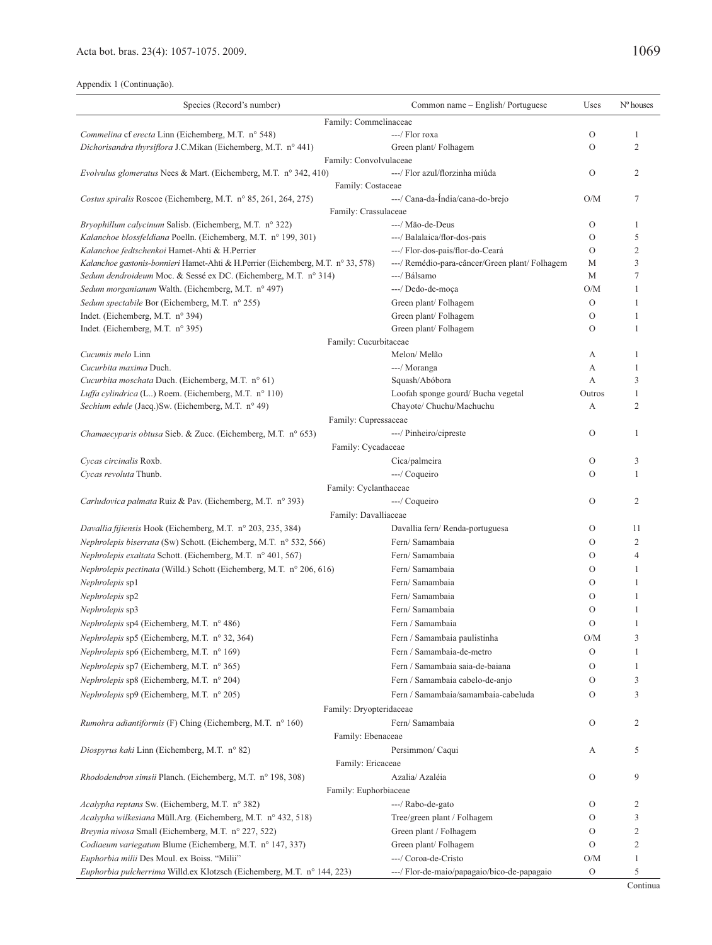| Species (Record's number)<br>Common name - English/Portuguese                                                                      | Uses          | $No$ houses    |
|------------------------------------------------------------------------------------------------------------------------------------|---------------|----------------|
| Family: Commelinaceae                                                                                                              |               |                |
| Commelina cf erecta Linn (Eichemberg, M.T. n° 548)<br>---/ Flor roxa                                                               | О             | 1              |
| Dichorisandra thyrsiflora J.C.Mikan (Eichemberg, M.T. nº 441)<br>Green plant/Folhagem                                              | $\circ$       | 2              |
| Family: Convolvulaceae                                                                                                             |               |                |
| ---/ Flor azul/florzinha miúda<br><i>Evolvulus glomeratus</i> Nees & Mart. (Eichemberg, M.T. n° 342, 410)                          | $\circ$       | 2              |
| Family: Costaceae                                                                                                                  |               |                |
| ---/ Cana-da-Índia/cana-do-brejo<br>Costus spiralis Roscoe (Eichemberg, M.T. n° 85, 261, 264, 275)                                 | O/M           | 7              |
| Family: Crassulaceae                                                                                                               |               |                |
| Bryophillum calycinum Salisb. (Eichemberg, M.T. n° 322)<br>---/ Mão-de-Deus                                                        | O             | 1              |
| Kalanchoe blossfeldiana Poelln. (Eichemberg, M.T. nº 199, 301)<br>---/ Balalaica/flor-dos-pais                                     | О             | 5              |
| ---/ Flor-dos-pais/flor-do-Ceará<br>Kalanchoe fedtschenkoi Hamet-Ahti & H.Perrier                                                  | О             | 2              |
| ---/ Remédio-para-câncer/Green plant/ Folhagem<br>Kalanchoe gastonis-bonnieri Hamet-Ahti & H.Perrier (Eichemberg, M.T. n° 33, 578) | М             | 3              |
| Sedum dendroideum Moc. & Sessé ex DC. (Eichemberg, M.T. n° 314)<br>---/ Bálsamo                                                    | M             | 7              |
| ---/ Dedo-de-moça<br>Sedum morganianum Walth. (Eichemberg, M.T. nº 497)                                                            | O/M           |                |
| Sedum spectabile Bor (Eichemberg, M.T. n° 255)<br>Green plant/Folhagem                                                             | $\mathcal{O}$ | 1              |
| Indet. (Eichemberg, M.T. n° 394)<br>Green plant/Folhagem                                                                           | $\circ$       | 1              |
| Indet. (Eichemberg, M.T. n° 395)<br>Green plant/Folhagem                                                                           | $\circ$       | -1             |
| Family: Cucurbitaceae                                                                                                              |               |                |
| Melon/Melão<br>Cucumis melo Linn                                                                                                   | A             | 1              |
| Cucurbita maxima Duch.<br>---/ Moranga                                                                                             | А             | 1              |
| Cucurbita moschata Duch. (Eichemberg, M.T. n° 61)<br>Squash/Abóbora                                                                | А             | 3              |
| Luffa cylindrica (L) Roem. (Eichemberg, M.T. n° 110)<br>Loofah sponge gourd/ Bucha vegetal                                         | Outros        | 1              |
| Chayote/ Chuchu/Machuchu<br>Sechium edule (Jacq.)Sw. (Eichemberg, M.T. n° 49)                                                      | А             | 2              |
| Family: Cupressaceae                                                                                                               |               |                |
| ---/ Pinheiro/cipreste<br><i>Chamaecyparis obtusa Sieb. &amp; Zucc. (Eichemberg, M.T. n° 653)</i>                                  | O             | 1              |
| Family: Cycadaceae                                                                                                                 |               |                |
| Cycas circinalis Roxb.<br>Cica/palmeira                                                                                            | О             | 3              |
| Cycas revoluta Thunb.<br>---/ Coqueiro                                                                                             | O             | 1              |
| Family: Cyclanthaceae                                                                                                              |               |                |
| ---/ Coqueiro<br>Carludovica palmata Ruiz & Pav. (Eichemberg, M.T. n° 393)                                                         | О             | 2              |
| Family: Davalliaceae                                                                                                               |               |                |
| Davallia fijiensis Hook (Eichemberg, M.T. n° 203, 235, 384)<br>Davallia fern/Renda-portuguesa                                      | О             | 11             |
| Nephrolepis biserrata (Sw) Schott. (Eichemberg, M.T. n° 532, 566)<br>Fern/ Samambaia                                               | $\circ$       | 2              |
| Fern/ Samambaia<br>Nephrolepis exaltata Schott. (Eichemberg, M.T. nº 401, 567)                                                     | $\circ$       | $\overline{4}$ |
| <i>Nephrolepis pectinata</i> (Willd.) Schott (Eichemberg, M.T. n° 206, 616)<br>Fern/ Samambaia                                     | $\circ$       | 1              |
| Fern/ Samambaia<br><i>Nephrolepis</i> sp1                                                                                          | О             | 1              |
| Fern/ Samambaia<br>Nephrolepis sp2                                                                                                 | $\circ$       | 1              |
| Fern/ Samambaia<br>Nephrolepis sp3                                                                                                 | O             |                |
| Nephrolepis sp4 (Eichemberg, M.T. n° 486)<br>Fern / Samambaia                                                                      | O             | 1              |
| Nephrolepis sp5 (Eichemberg, M.T. n° 32, 364)<br>Fern / Samambaia paulistinha                                                      | O/M           | 3              |
| Nephrolepis sp6 (Eichemberg, M.T. n° 169)<br>Fern / Samambaia-de-metro                                                             | О             | 1              |
| Nephrolepis sp7 (Eichemberg, M.T. n° 365)<br>Fern / Samambaia saia-de-baiana                                                       | О             | 1              |
| Nephrolepis sp8 (Eichemberg, M.T. n° 204)<br>Fern / Samambaia cabelo-de-anjo                                                       | O             | 3              |
| Nephrolepis sp9 (Eichemberg, M.T. n° 205)<br>Fern / Samambaia/samambaia-cabeluda                                                   | О             | 3              |
| Family: Dryopteridaceae                                                                                                            |               |                |
| Fern/ Samambaia<br><i>Rumohra adiantiformis</i> (F) Ching (Eichemberg, M.T. n° 160)                                                | O             | 2              |
| Family: Ebenaceae                                                                                                                  |               |                |
| Diospyrus kaki Linn (Eichemberg, M.T. n° 82)<br>Persimmon/ Caqui                                                                   | А             | 5              |
| Family: Ericaceae                                                                                                                  |               |                |
| Azalia/ Azaléia<br>Rhododendron simsii Planch. (Eichemberg, M.T. nº 198, 308)                                                      | $\circ$       | 9              |
| Family: Euphorbiaceae                                                                                                              |               |                |
| Acalypha reptans Sw. (Eichemberg, M.T. n° 382)<br>---/ Rabo-de-gato                                                                | О             | 2              |
| Acalypha wilkesiana Müll.Arg. (Eichemberg, M.T. n° 432, 518)<br>Tree/green plant / Folhagem                                        | О             | 3              |
| Breynia nivosa Small (Eichemberg, M.T. nº 227, 522)<br>Green plant / Folhagem                                                      | О             | 2              |
| Codiaeum variegatum Blume (Eichemberg, M.T. nº 147, 337)<br>Green plant/Folhagem                                                   | O             | $\mathfrak{2}$ |
| Euphorbia milii Des Moul. ex Boiss. "Milii"<br>---/ Coroa-de-Cristo                                                                | O/M           | 1              |
| ---/ Flor-de-maio/papagaio/bico-de-papagaio<br><i>Euphorbia pulcherrima</i> Willd.ex Klotzsch (Eichemberg, M.T. n° 144, 223)       | O             | 5              |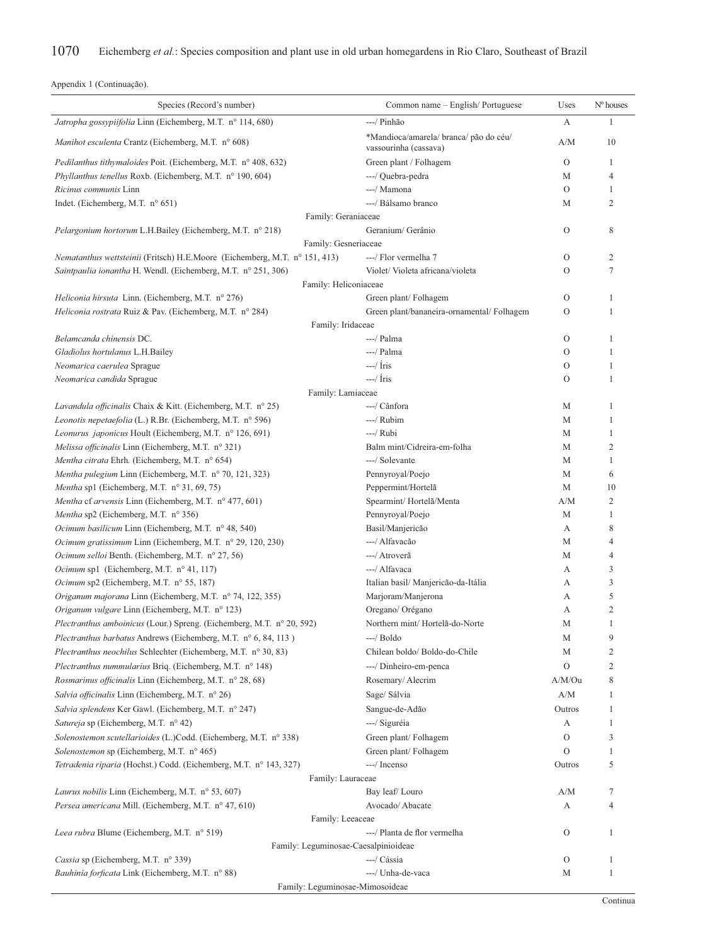| Species (Record's number)                                                              | Common name - English/Portuguese                                | Uses           | Nº houses                        |
|----------------------------------------------------------------------------------------|-----------------------------------------------------------------|----------------|----------------------------------|
| Jatropha gossypiifolia Linn (Eichemberg, M.T. nº 114, 680)                             | ---/ Pinhão                                                     | А              | 1                                |
| Manihot esculenta Crantz (Eichemberg, M.T. n° 608)                                     | *Mandioca/amarela/ branca/ pão do céu/<br>vassourinha (cassava) | A/M            | 10                               |
| Pedilanthus tithymaloides Poit. (Eichemberg, M.T. n° 408, 632)                         | Green plant / Folhagem                                          | O              | 1                                |
| Phyllanthus tenellus Roxb. (Eichemberg, M.T. nº 190, 604)                              | ---/ Quebra-pedra                                               | M              | $\overline{4}$                   |
| Ricinus communis Linn                                                                  | ---/ Mamona                                                     | $\mathcal{O}$  | 1                                |
| Indet. (Eichemberg, M.T. $n^{\circ}$ 651)                                              | ---/ Bálsamo branco                                             | M              | $\overline{2}$                   |
| Family: Geraniaceae                                                                    |                                                                 |                |                                  |
| Pelargonium hortorum L.H.Bailey (Eichemberg, M.T. n° 218)                              | Geranium/ Gerânio                                               | О              | 8                                |
| Family: Gesneriaceae                                                                   |                                                                 |                |                                  |
| Nematanthus wettsteinii (Fritsch) H.E.Moore (Eichemberg, M.T. n° 151, 413)             | ---/ Flor vermelha 7                                            | О              | 2                                |
| Saintpaulia ionantha H. Wendl. (Eichemberg, M.T. nº 251, 306)                          | Violet/Violeta africana/violeta                                 | O              | 7                                |
| Family: Heliconiaceae                                                                  |                                                                 |                |                                  |
| Heliconia hirsuta Linn. (Eichemberg, M.T. n° 276)                                      | Green plant/Folhagem                                            | О              | 1                                |
| Heliconia rostrata Ruiz & Pav. (Eichemberg, M.T. nº 284)                               | Green plant/bananeira-ornamental/ Folhagem                      | $\mathcal{O}$  | 1                                |
| Family: Iridaceae                                                                      |                                                                 |                |                                  |
| Belamcanda chinensis DC.                                                               | ---/ Palma                                                      | О              | 1                                |
| Gladiolus hortulanus L.H.Bailey                                                        | ---/ Palma                                                      | О              | 1                                |
| Neomarica caerulea Sprague                                                             | $-\frac{1}{\pi}$                                                | $\overline{O}$ | 1                                |
| Neomarica candida Sprague                                                              | $-$ / Íris                                                      | $\Omega$       | 1                                |
| Family: Lamiaceae                                                                      |                                                                 |                |                                  |
| Lavandula officinalis Chaix & Kitt. (Eichemberg, M.T. n° 25)                           | ---/ Cânfora                                                    | M              | 1                                |
| Leonotis nepetaefolia (L.) R.Br. (Eichemberg, M.T. n° 596)                             | ---/ Rubim                                                      | M              | 1                                |
| Leonurus japonicus Hoult (Eichemberg, M.T. n° 126, 691)                                | $---/$ Rubi                                                     | M              | 1                                |
| Melissa officinalis Linn (Eichemberg, M.T. nº 321)                                     | Balm mint/Cidreira-em-folha                                     | M              | $\mathfrak{2}$                   |
| Mentha citrata Ehrh. (Eichemberg, M.T. nº 654)                                         | ---/ Solevante                                                  | M              | $\mathbf{1}$                     |
| Mentha pulegium Linn (Eichemberg, M.T. n° 70, 121, 323)                                | Pennyroyal/Poejo                                                | M              | 6                                |
| Mentha sp1 (Eichemberg, M.T. $n^{\circ}$ 31, 69, 75)                                   | Peppermint/Hortelã                                              | M              | 10                               |
| Mentha cf arvensis Linn (Eichemberg, M.T. nº 477, 601)                                 | Spearmint/Hortelã/Menta                                         | A/M            | 2                                |
| Mentha sp2 (Eichemberg, M.T. n° 356)                                                   | Pennyroyal/Poejo                                                | M              | 1                                |
| Ocimum basilicum Linn (Eichemberg, M.T. nº 48, 540)                                    | Basil/Manjericão                                                | А              | 8                                |
| Ocimum gratissimum Linn (Eichemberg, M.T. n° 29, 120, 230)                             | ---/ Alfavação<br>---/ Atroverã                                 | M              | $\overline{4}$<br>$\overline{4}$ |
| Ocimum selloi Benth. (Eichemberg, M.T. nº 27, 56)                                      | ---/ Alfavaca                                                   | M              | 3                                |
| Ocimum sp1 (Eichemberg, M.T. n° 41, 117)<br>Ocimum sp2 (Eichemberg, M.T. n° 55, 187)   | Italian basil/ Manjericão-da-Itália                             | А<br>А         | 3                                |
| Origanum majorana Linn (Eichemberg, M.T. n° 74, 122, 355)                              | Marjoram/Manjerona                                              | А              | 5                                |
| Origanum vulgare Linn (Eichemberg, M.T. nº 123)                                        | Oregano/ Orégano                                                | А              | $\mathfrak{2}$                   |
| Plectranthus amboinicus (Lour.) Spreng. (Eichemberg, M.T. n° 20, 592)                  | Northern mint/Hortelã-do-Norte                                  | M              | 1                                |
| Plectranthus barbatus Andrews (Eichemberg, M.T. n° 6, 84, 113)                         | ---/ Boldo                                                      | M              | 9                                |
| Plectranthus neochilus Schlechter (Eichemberg, M.T. n° 30, 83)                         | Chilean boldo/Boldo-do-Chile                                    | M              | 2                                |
| Plectranthus nummularius Briq. (Eichemberg, M.T. n° 148)                               | ---/ Dinheiro-em-penca                                          | $\overline{O}$ | 2                                |
| Rosmarinus officinalis Linn (Eichemberg, M.T. nº 28, 68)                               | Rosemary/Alecrim                                                | A/M/Ou         | 8                                |
| Salvia officinalis Linn (Eichemberg, M.T. n° 26)                                       | Sage/ Sálvia                                                    | A/M            | 1                                |
| Salvia splendens Ker Gawl. (Eichemberg, M.T. n° 247)                                   | Sangue-de-Adão                                                  | Outros         | 1                                |
| Satureja sp (Eichemberg, M.T. n° 42)                                                   |                                                                 |                |                                  |
|                                                                                        | ---/ Siguréia                                                   | А<br>О         | 1<br>3                           |
| Solenostemon scutellarioides (L.)Codd. (Eichemberg, M.T. n° 338)                       | Green plant/Folhagem                                            | $\overline{O}$ | 1                                |
| Solenostemon sp (Eichemberg, M.T. n° 465)                                              | Green plant/Folhagem                                            |                |                                  |
| Tetradenia riparia (Hochst.) Codd. (Eichemberg, M.T. n° 143, 327)<br>Family: Lauraceae | ---/ Incenso                                                    | Outros         | 5                                |
| Laurus nobilis Linn (Eichemberg, M.T. n° 53, 607)                                      | Bay leaf/Louro                                                  | A/M            | 7                                |
| Persea americana Mill. (Eichemberg, M.T. n° 47, 610)                                   | Avocado/ Abacate                                                | А              | $\overline{4}$                   |
|                                                                                        | Family: Leeaceae                                                |                |                                  |
| Leea rubra Blume (Eichemberg, M.T. n° 519)                                             | ---/ Planta de flor vermelha                                    | О              | 1                                |
|                                                                                        | Family: Leguminosae-Caesalpinioideae                            |                |                                  |
| Cassia sp (Eichemberg, M.T. n° 339)                                                    | ---/ Cássia                                                     | O              | 1                                |
| Bauhinia forficata Link (Eichemberg, M.T. n° 88)                                       | ---/ Unha-de-vaca                                               | M              | 1                                |
|                                                                                        | Family: Leguminosae-Mimosoideae                                 |                |                                  |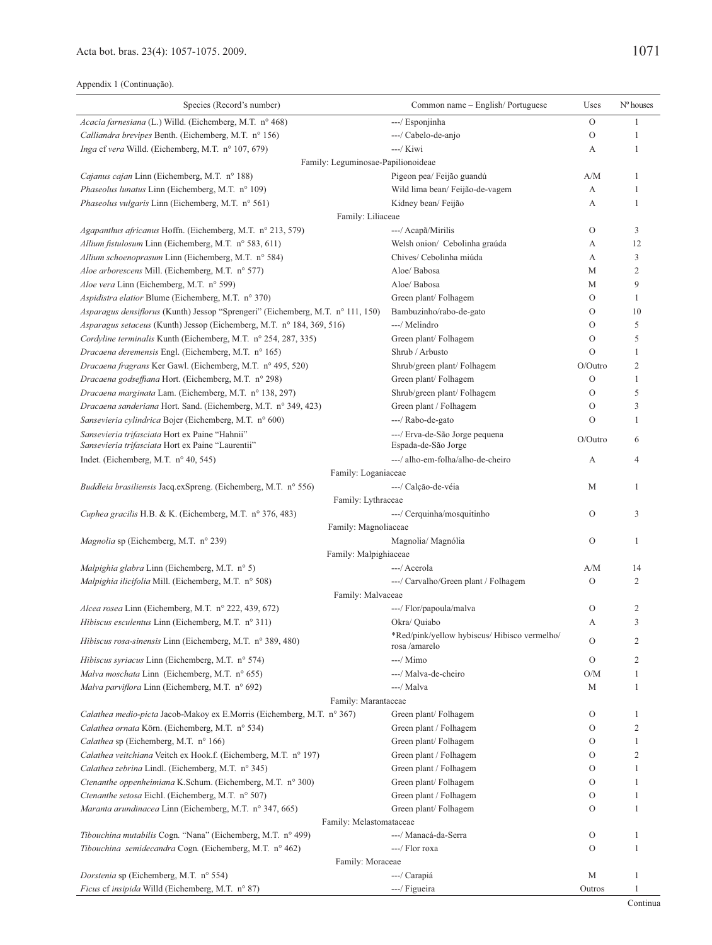| Species (Record's number)                                                                           | Common name - English/Portuguese                              | Uses          | Nº houses      |
|-----------------------------------------------------------------------------------------------------|---------------------------------------------------------------|---------------|----------------|
| Acacia farnesiana (L.) Willd. (Eichemberg, M.T. nº 468)                                             | ---/ Esponjinha                                               | $\Omega$      | 1              |
| Calliandra brevipes Benth. (Eichemberg, M.T. n° 156)                                                | ---/ Cabelo-de-anjo                                           | $\mathcal{O}$ | 1              |
| Inga cf vera Willd. (Eichemberg, M.T. nº 107, 679)                                                  | ---/ Kiwi                                                     | А             | 1              |
| Family: Leguminosae-Papilionoideae                                                                  |                                                               |               |                |
| Cajanus cajan Linn (Eichemberg, M.T. n° 188)                                                        | Pigeon pea/ Feijão guandú                                     | A/M           | 1              |
| <i>Phaseolus lunatus</i> Linn (Eichemberg, M.T. n° 109)                                             | Wild lima bean/ Feijão-de-vagem                               | А             | 1              |
| Phaseolus vulgaris Linn (Eichemberg, M.T. nº 561)                                                   | Kidney bean/Feijão                                            | А             | 1              |
| Family: Liliaceae                                                                                   |                                                               |               |                |
| Agapanthus africanus Hoffn. (Eichemberg, M.T. n° 213, 579)                                          | ---/ Acapã/Mirilis                                            | $\mathcal{O}$ | 3              |
| Allium fistulosum Linn (Eichemberg, M.T. nº 583, 611)                                               | Welsh onion/ Cebolinha graúda                                 | А             | 12             |
| Allium schoenoprasum Linn (Eichemberg, M.T. n° 584)                                                 | Chives/ Cebolinha miúda                                       | А             | 3              |
| Aloe arborescens Mill. (Eichemberg, M.T. nº 577)                                                    | Aloe/ Babosa                                                  | М             | $\overline{2}$ |
| Aloe vera Linn (Eichemberg, M.T. n° 599)                                                            | Aloe/ Babosa                                                  | М             | 9              |
| Aspidistra elatior Blume (Eichemberg, M.T. nº 370)                                                  | Green plant/Folhagem                                          | $\mathcal{O}$ | 1              |
| Asparagus densiflorus (Kunth) Jessop "Sprengeri" (Eichemberg, M.T. n° 111, 150)                     | Bambuzinho/rabo-de-gato                                       | $\mathcal{O}$ | 10             |
| Asparagus setaceus (Kunth) Jessop (Eichemberg, M.T. nº 184, 369, 516)                               | ---/ Melindro                                                 | $\mathcal{O}$ | 5              |
| Cordyline terminalis Kunth (Eichemberg, M.T. nº 254, 287, 335)                                      | Green plant/Folhagem                                          | $\mathcal{O}$ | 5              |
| Dracaena deremensis Engl. (Eichemberg, M.T. nº 165)                                                 | Shrub / Arbusto                                               | $\Omega$      | 1              |
| Dracaena fragrans Ker Gawl. (Eichemberg, M.T. nº 495, 520)                                          | Shrub/green plant/ Folhagem                                   | $O/O$ utro    | $\overline{2}$ |
| Dracaena godseffiana Hort. (Eichemberg, M.T. nº 298)                                                | Green plant/Folhagem                                          | $\mathcal{O}$ | 1              |
| Dracaena marginata Lam. (Eichemberg, M.T. nº 138, 297)                                              | Shrub/green plant/ Folhagem                                   | $\mathcal{O}$ | 5              |
| Dracaena sanderiana Hort. Sand. (Eichemberg, M.T. nº 349, 423)                                      | Green plant / Folhagem                                        | $\mathcal{O}$ | 3              |
| Sansevieria cylindrica Bojer (Eichemberg, M.T. n° 600)                                              | ---/ Rabo-de-gato                                             | $\Omega$      | 1              |
| Sansevieria trifasciata Hort ex Paine "Hahnii"<br>Sansevieria trifasciata Hort ex Paine "Laurentii" | ---/ Erva-de-São Jorge pequena<br>Espada-de-São Jorge         | O/Outro       | 6              |
| Indet. (Eichemberg, M.T. $n^{\circ}$ 40, 545)                                                       | ---/ alho-em-folha/alho-de-cheiro                             | A             | $\overline{4}$ |
| Family: Loganiaceae                                                                                 |                                                               |               |                |
| <i>Buddleia brasiliensis Jacq.exSpreng. (Eichemberg, M.T. n° 556)</i>                               | ---/ Calção-de-véia                                           | М             | 1              |
| Family: Lythraceae                                                                                  |                                                               |               |                |
| Cuphea gracilis H.B. & K. (Eichemberg, M.T. n° 376, 483)                                            | ---/ Cerquinha/mosquitinho                                    | $\mathcal{O}$ | 3              |
| Family: Magnoliaceae                                                                                |                                                               |               |                |
| Magnolia sp (Eichemberg, M.T. n° 239)                                                               | Magnolia/ Magnólia                                            | $\mathcal{O}$ | 1              |
| Family: Malpighiaceae                                                                               |                                                               |               |                |
| Malpighia glabra Linn (Eichemberg, M.T. n° 5)                                                       | ---/ Acerola                                                  | A/M           | 14             |
| Malpighia ilicifolia Mill. (Eichemberg, M.T. nº 508)                                                | ---/ Carvalho/Green plant / Folhagem                          | $\Omega$      | 2              |
| Family: Malvaceae                                                                                   |                                                               |               |                |
| Alcea rosea Linn (Eichemberg, M.T. nº 222, 439, 672)                                                | ---/ Flor/papoula/malva                                       | $\mathcal{O}$ | $\overline{2}$ |
| Hibiscus esculentus Linn (Eichemberg, M.T. nº 311)                                                  | Okra/ Quiabo                                                  | А             | 3              |
| Hibiscus rosa-sinensis Linn (Eichemberg, M.T. n° 389, 480)                                          | *Red/pink/yellow hybiscus/ Hibisco vermelho/<br>rosa /amarelo | $\rm{O}$      | $\overline{c}$ |
| Hibiscus syriacus Linn (Eichemberg, M.T. n° 574)                                                    | ---/ Mimo                                                     | $\mathbf{O}$  | 2              |
| Malva moschata Linn (Eichemberg, M.T. n° 655)                                                       | ---/ Malva-de-cheiro                                          | O/M           | 1              |
| Malva parviflora Linn (Eichemberg, M.T. nº 692)                                                     | ---/ Malva                                                    | М             | 1              |
| Family: Marantaceae                                                                                 |                                                               |               |                |
| Calathea medio-picta Jacob-Makoy ex E.Morris (Eichemberg, M.T. n° 367)                              | Green plant/Folhagem                                          | $\mathcal{O}$ | 1              |
| Calathea ornata Körn. (Eichemberg, M.T. nº 534)                                                     | Green plant / Folhagem                                        | $\mathcal{O}$ | $\mathbf{2}$   |
| Calathea sp (Eichemberg, M.T. nº 166)                                                               | Green plant/Folhagem                                          | $\mathcal{O}$ | 1              |
| Calathea veitchiana Veitch ex Hook.f. (Eichemberg, M.T. nº 197)                                     | Green plant / Folhagem                                        | $\mathbf{O}$  | $\overline{2}$ |
| Calathea zebrina Lindl. (Eichemberg, M.T. nº 345)                                                   | Green plant / Folhagem                                        | $\mathbf{O}$  | 1              |
| Ctenanthe oppenheimiana K.Schum. (Eichemberg, M.T. n° 300)                                          | Green plant/Folhagem                                          | $\mathbf{O}$  | 1              |
| Ctenanthe setosa Eichl. (Eichemberg, M.T. n° 507)                                                   | Green plant / Folhagem                                        | $\rm{O}$      | 1              |
| Maranta arundinacea Linn (Eichemberg, M.T. nº 347, 665)                                             | Green plant/Folhagem                                          | $\mathbf{O}$  | 1              |
| Family: Melastomataceae                                                                             |                                                               |               |                |
| Tibouchina mutabilis Cogn. "Nana" (Eichemberg, M.T. n° 499)                                         | ---/ Manacá-da-Serra                                          | $\rm{O}$      | 1              |
| Tibouchina semidecandra Cogn. (Eichemberg, M.T. nº 462)                                             | ---/ Flor roxa                                                | $\mathcal{O}$ | $\mathbf{1}$   |
| Family: Moraceae                                                                                    |                                                               |               |                |
| Dorstenia sp (Eichemberg, M.T. nº 554)                                                              | ---/ Carapiá                                                  | М             | $\mathbf{1}$   |
| Ficus ef insipida Willd (Eichemberg, M.T. n° 87)                                                    | ---/ Figueira                                                 | Outros        | 1              |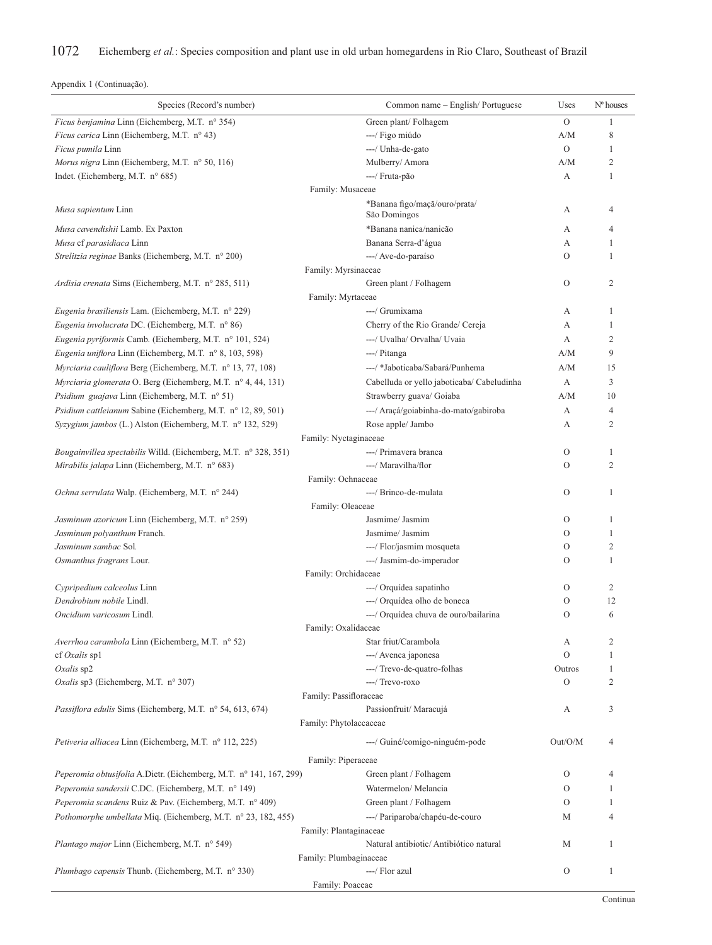| Species (Record's number)                                          | Common name - English/Portuguese                        | Uses               | $No$ houses    |
|--------------------------------------------------------------------|---------------------------------------------------------|--------------------|----------------|
| Ficus benjamina Linn (Eichemberg, M.T. nº 354)                     | Green plant/Folhagem                                    | $\overline{O}$     | 1              |
| Ficus carica Linn (Eichemberg, M.T. n° 43)                         | ---/ Figo miúdo                                         | A/M                | 8              |
| Ficus pumila Linn                                                  | ---/ Unha-de-gato                                       | $\overline{O}$     | 1              |
| Morus nigra Linn (Eichemberg, M.T. $n^{\circ}$ 50, 116)            | Mulberry/Amora                                          | A/M                | $\overline{2}$ |
| Indet. (Eichemberg, M.T. n° 685)                                   | ---/ Fruta-pão                                          | А                  | 1              |
|                                                                    | Family: Musaceae                                        |                    |                |
| <i>Musa sapientum</i> Linn                                         | *Banana figo/maçã/ouro/prata/<br>São Domingos           | А                  | 4              |
| Musa cavendishii Lamb. Ex Paxton                                   | *Banana nanica/nanicão                                  | А                  | 4              |
| Musa cf parasidiaca Linn                                           | Banana Serra-d'água                                     | А                  | 1              |
| Strelitzia reginae Banks (Eichemberg, M.T. n° 200)                 | --- / Ave-do-paraíso                                    | $\Omega$           | 1              |
|                                                                    | Family: Myrsinaceae                                     |                    |                |
| Ardisia crenata Sims (Eichemberg, M.T. n° 285, 511)                | Green plant / Folhagem                                  | $\mathcal{O}$      | 2              |
|                                                                    | Family: Myrtaceae                                       |                    |                |
| Eugenia brasiliensis Lam. (Eichemberg, M.T. n° 229)                | ---/ Grumixama                                          | А                  | 1              |
| Eugenia involucrata DC. (Eichemberg, M.T. n° 86)                   | Cherry of the Rio Grande/ Cereja                        | А                  | 1              |
| Eugenia pyriformis Camb. (Eichemberg, M.T. n° 101, 524)            | ---/ Uvalha/ Orvalha/ Uvaia                             | А                  | $\overline{2}$ |
| Eugenia uniflora Linn (Eichemberg, M.T. n° 8, 103, 598)            | ---/ Pitanga                                            | A/M                | 9              |
| Myrciaria cauliflora Berg (Eichemberg, M.T. nº 13, 77, 108)        | ---/ *Jaboticaba/Sabará/Punhema                         | A/M                | 15             |
| Myrciaria glomerata O. Berg (Eichemberg, M.T. nº 4, 44, 131)       | Cabelluda or yello jaboticaba/ Cabeludinha              | А                  | 3              |
| <i>Psidium guajava</i> Linn (Eichemberg, M.T. n° 51)               | Strawberry guava/ Goiaba                                | A/M                | 10             |
| Psidium cattleianum Sabine (Eichemberg, M.T. n° 12, 89, 501)       | ---/ Araçá/goiabinha-do-mato/gabiroba                   | А                  | 4              |
| Syzygium jambos (L.) Alston (Eichemberg, M.T. n° 132, 529)         | Rose apple/ Jambo                                       | А                  | $\overline{c}$ |
|                                                                    | Family: Nyctaginaceae                                   |                    |                |
| Bougainvillea spectabilis Willd. (Eichemberg, M.T. n° 328, 351)    | ---/ Primavera branca                                   | $\mathcal{O}$      | 1              |
| Mirabilis jalapa Linn (Eichemberg, M.T. $n^{\circ}$ 683)           | ---/ Maravilha/flor                                     | $\Omega$           | $\overline{c}$ |
|                                                                    | Family: Ochnaceae                                       |                    |                |
| Ochna serrulata Walp. (Eichemberg, M.T. n° 244)                    | ---/ Brinco-de-mulata                                   | $\mathcal{O}$      | 1              |
|                                                                    | Family: Oleaceae                                        |                    |                |
| Jasminum azoricum Linn (Eichemberg, M.T. n° 259)                   | Jasmime/ Jasmim                                         | $\mathcal{O}$      | 1              |
| Jasminum polyanthum Franch.                                        | Jasmime/ Jasmim                                         | $\Omega$           | 1              |
| Jasminum sambac Sol.                                               | ---/ Flor/jasmim mosqueta                               | O                  | $\overline{c}$ |
| Osmanthus fragrans Lour.                                           | ---/ Jasmim-do-imperador                                | $\Omega$           | 1              |
|                                                                    | Family: Orchidaceae                                     |                    |                |
| Cypripedium calceolus Linn                                         | ---/ Orquídea sapatinho<br>---/ Orquídea olho de boneca | $\mathcal{O}$      | $\mathbf{2}$   |
| Dendrobium nobile Lindl.<br>Oncidium varicosum Lindl.              | ---/ Orquídea chuva de ouro/bailarina                   | $\mathcal{O}$<br>O | 12<br>6        |
|                                                                    | Family: Oxalidaceae                                     |                    |                |
| Averrhoa carambola Linn (Eichemberg, M.T. n° 52)                   | Star friut/Carambola                                    | А                  | 2              |
| cf Oxalis sp1                                                      | ---/ Avenca japonesa                                    | $\Omega$           | 1              |
| $Oxalis$ sp2                                                       | ---/ Trevo-de-quatro-folhas                             | Outros             | 1              |
| Oxalis sp3 (Eichemberg, M.T. $n^{\circ}$ 307)                      | ---/ Trevo-roxo                                         | $\mathcal{O}$      | 2              |
|                                                                    | Family: Passifloraceae                                  |                    |                |
| <i>Passiflora edulis</i> Sims (Eichemberg, M.T. n° 54, 613, 674)   | Passionfruit/ Maracujá                                  | А                  | 3              |
|                                                                    | Family: Phytolaccaceae                                  |                    |                |
| <i>Petiveria alliacea</i> Linn (Eichemberg, M.T. n° 112, 225)      | ---/ Guiné/comigo-ninguém-pode                          | Out/O/M            | 4              |
|                                                                    | Family: Piperaceae                                      |                    |                |
| Peperomia obtusifolia A.Dietr. (Eichemberg, M.T. nº 141, 167, 299) | Green plant / Folhagem                                  | $\mathcal{O}$      | 4              |
| Peperomia sandersii C.DC. (Eichemberg, M.T. nº 149)                | Watermelon/Melancia                                     | O                  | 1              |
| Peperomia scandens Ruiz & Pav. (Eichemberg, M.T. nº 409)           | Green plant / Folhagem                                  | 0                  | 1              |
| Pothomorphe umbellata Miq. (Eichemberg, M.T. nº 23, 182, 455)      | ---/ Pariparoba/chapéu-de-couro                         | М                  | 4              |
|                                                                    | Family: Plantaginaceae                                  |                    |                |
| <i>Plantago major</i> Linn (Eichemberg, M.T. n° 549)               | Natural antibiotic/ Antibiótico natural                 | М                  | 1              |
|                                                                    | Family: Plumbaginaceae                                  |                    |                |
| <i>Plumbago capensis</i> Thunb. (Eichemberg, M.T. n° 330)          | ---/ Flor azul                                          | $\rm{O}$           | $\mathbf{1}$   |
|                                                                    | Family: Poaceae                                         |                    |                |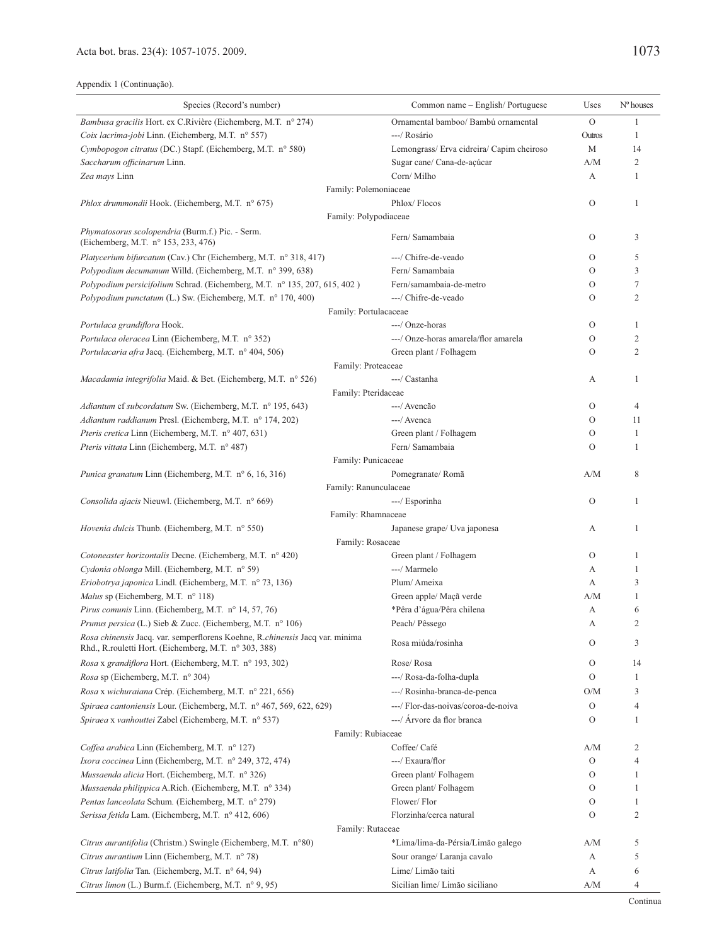| Species (Record's number)                                                                                                              | Common name – English/Portuguese          | Uses                                                                                                                                                      | $No$ houses    |
|----------------------------------------------------------------------------------------------------------------------------------------|-------------------------------------------|-----------------------------------------------------------------------------------------------------------------------------------------------------------|----------------|
| Bambusa gracilis Hort. ex C.Rivière (Eichemberg, M.T. nº 274)                                                                          | Ornamental bamboo/ Bambú ornamental       | $\overline{O}$                                                                                                                                            | $\mathbf{1}$   |
| Coix lacrima-jobi Linn. (Eichemberg, M.T. n° 557)                                                                                      | ---/ Rosário                              | Outros                                                                                                                                                    | 1              |
| Cymbopogon citratus (DC.) Stapf. (Eichemberg, M.T. n° 580)                                                                             | Lemongrass/ Erva cidreira/ Capim cheiroso | M                                                                                                                                                         | 14             |
| Saccharum officinarum Linn.                                                                                                            | Sugar cane/ Cana-de-açúcar                | A/M                                                                                                                                                       | $\mathfrak{2}$ |
| Zea mays Linn                                                                                                                          | Corn/Milho                                | А                                                                                                                                                         | 1              |
|                                                                                                                                        | Family: Polemoniaceae                     |                                                                                                                                                           |                |
| Phlox drummondii Hook. (Eichemberg, M.T. n° 675)                                                                                       | Phlox/Flocos                              | О                                                                                                                                                         | 1              |
|                                                                                                                                        | Family: Polypodiaceae                     |                                                                                                                                                           |                |
| Phymatosorus scolopendria (Burm.f.) Pic. - Serm.<br>(Eichemberg, M.T. n° 153, 233, 476)                                                | Fern/ Samambaia                           | О                                                                                                                                                         | 3              |
| Platycerium bifurcatum (Cav.) Chr (Eichemberg, M.T. n° 318, 417)                                                                       | ---/ Chifre-de-veado                      | О                                                                                                                                                         | 5              |
| Polypodium decumanum Willd. (Eichemberg, M.T. nº 399, 638)                                                                             | Fern/ Samambaia                           | О                                                                                                                                                         | 3              |
| Polypodium persicifolium Schrad. (Eichemberg, M.T. n° 135, 207, 615, 402)                                                              | Fern/samambaia-de-metro                   | О                                                                                                                                                         | $\tau$         |
| Polypodium punctatum (L.) Sw. (Eichemberg, M.T. n° 170, 400)                                                                           | ---/ Chifre-de-veado                      | $\circ$                                                                                                                                                   | $\overline{2}$ |
|                                                                                                                                        | Family: Portulacaceae                     |                                                                                                                                                           |                |
| Portulaca grandiflora Hook.                                                                                                            | ---/ Onze-horas                           | О                                                                                                                                                         | 1              |
| Portulaca oleracea Linn (Eichemberg, M.T. nº 352)                                                                                      | ---/ Onze-horas amarela/flor amarela      | О                                                                                                                                                         | $\overline{2}$ |
| Portulacaria afra Jacq. (Eichemberg, M.T. nº 404, 506)                                                                                 | Green plant / Folhagem                    | О                                                                                                                                                         | $\overline{2}$ |
|                                                                                                                                        | Family: Proteaceae                        | А<br>О<br>О<br>О<br>О<br>A/M<br>О<br>А<br>О<br>А<br>А<br>A/M<br>А<br>А<br>$\rm{O}$<br>О<br>О<br>O/M<br>О<br>О<br>A/M<br>О<br>О<br>О<br>О<br>О<br>A/M<br>А |                |
| Macadamia integrifolia Maid. & Bet. (Eichemberg, M.T. nº 526)                                                                          | ---/ Castanha                             |                                                                                                                                                           | 1              |
|                                                                                                                                        | Family: Pteridaceae                       |                                                                                                                                                           |                |
| Adiantum cf subcordatum Sw. (Eichemberg, M.T. nº 195, 643)                                                                             | ---/ Avencão                              |                                                                                                                                                           | $\overline{4}$ |
| Adiantum raddianum Presl. (Eichemberg, M.T. n° 174, 202)                                                                               | ---/ Avenca                               |                                                                                                                                                           | 11             |
| Pteris cretica Linn (Eichemberg, M.T. n° 407, 631)                                                                                     | Green plant / Folhagem                    |                                                                                                                                                           | 1              |
| Pteris vittata Linn (Eichemberg, M.T. n° 487)                                                                                          | Fern/ Samambaia                           |                                                                                                                                                           | 1              |
|                                                                                                                                        | Family: Punicaceae                        |                                                                                                                                                           | 8              |
| <i>Punica granatum</i> Linn (Eichemberg, M.T. n° 6, 16, 316)                                                                           | Pomegranate/Romã                          |                                                                                                                                                           |                |
| Consolida ajacis Nieuwl. (Eichemberg, M.T. n° 669)                                                                                     | Family: Ranunculaceae<br>---/ Esporinha   |                                                                                                                                                           | 1              |
|                                                                                                                                        | Family: Rhamnaceae                        |                                                                                                                                                           |                |
| <i>Hovenia dulcis</i> Thunb. (Eichemberg, M.T. n° 550)                                                                                 | Japanese grape/ Uva japonesa              |                                                                                                                                                           | 1              |
|                                                                                                                                        | Family: Rosaceae                          |                                                                                                                                                           |                |
| Cotoneaster horizontalis Decne. (Eichemberg, M.T. n° 420)                                                                              | Green plant / Folhagem                    |                                                                                                                                                           | 1              |
| Cydonia oblonga Mill. (Eichemberg, M.T. nº 59)                                                                                         | ---/ Marmelo                              |                                                                                                                                                           | 1              |
| Eriobotrya japonica Lindl. (Eichemberg, M.T. n° 73, 136)                                                                               | Plum/Ameixa                               |                                                                                                                                                           | 3              |
| Malus sp (Eichemberg, M.T. n° 118)                                                                                                     | Green apple/ Maçã verde                   |                                                                                                                                                           | 1              |
| Pirus comunis Linn. (Eichemberg, M.T. n° 14, 57, 76)                                                                                   | *Pêra d'água/Pêra chilena                 |                                                                                                                                                           | 6              |
| <i>Prunus persica</i> (L.) Sieb & Zucc. (Eichemberg, M.T. n° 106)                                                                      | Peach/Pêssego                             |                                                                                                                                                           | 2              |
| Rosa chinensis Jacq. var. semperflorens Koehne, R.chinensis Jacq var. minima<br>Rhd., R. rouletti Hort. (Eichemberg, M.T. n° 303, 388) | Rosa miúda/rosinha                        |                                                                                                                                                           | 3              |
| Rosa x grandiflora Hort. (Eichemberg, M.T. nº 193, 302)                                                                                | Rose/Rosa                                 |                                                                                                                                                           | 14             |
| Rosa sp (Eichemberg, M.T. n° 304)                                                                                                      | ---/ Rosa-da-folha-dupla                  |                                                                                                                                                           | 1              |
| Rosa x wichuraiana Crép. (Eichemberg, M.T. nº 221, 656)                                                                                | ---/ Rosinha-branca-de-penca              |                                                                                                                                                           | 3              |
| Spiraea cantoniensis Lour. (Eichemberg, M.T. nº 467, 569, 622, 629)                                                                    | ---/ Flor-das-noivas/coroa-de-noiva       |                                                                                                                                                           | 4              |
| Spiraea x vanhouttei Zabel (Eichemberg, M.T. n° 537)                                                                                   | ---/ Arvore da flor branca                |                                                                                                                                                           | 1              |
|                                                                                                                                        | Family: Rubiaceae                         |                                                                                                                                                           |                |
| Coffea arabica Linn (Eichemberg, M.T. nº 127)                                                                                          | Coffee/ Café                              |                                                                                                                                                           | $\overline{c}$ |
| Ixora coccinea Linn (Eichemberg, M.T. nº 249, 372, 474)                                                                                | ---/ Exaura/flor                          |                                                                                                                                                           |                |
| Mussaenda alicia Hort. (Eichemberg, M.T. n° 326)                                                                                       | Green plant/Folhagem                      |                                                                                                                                                           |                |
| Mussaenda philippica A.Rich. (Eichemberg, M.T. n° 334)                                                                                 | Green plant/Folhagem                      |                                                                                                                                                           | 1              |
| Pentas lanceolata Schum. (Eichemberg, M.T. nº 279)                                                                                     | Flower/Flor                               |                                                                                                                                                           | 1              |
| Serissa fetida Lam. (Eichemberg, M.T. nº 412, 606)                                                                                     | Florzinha/cerca natural                   |                                                                                                                                                           | 2              |
|                                                                                                                                        | Family: Rutaceae                          |                                                                                                                                                           |                |
| Citrus aurantifolia (Christm.) Swingle (Eichemberg, M.T. n°80)                                                                         | *Lima/lima-da-Pérsia/Limão galego         |                                                                                                                                                           | 5              |
| Citrus aurantium Linn (Eichemberg, M.T. n° 78)                                                                                         | Sour orange/ Laranja cavalo               |                                                                                                                                                           | 5              |
| Citrus latifolia Tan. (Eichemberg, M.T. nº 64, 94)                                                                                     | Lime/ Limão taiti                         | А                                                                                                                                                         | 6              |
| Citrus limon (L.) Burm.f. (Eichemberg, M.T. nº 9, 95)                                                                                  | Sicilian lime/ Limão siciliano            | A/M                                                                                                                                                       | 4              |
|                                                                                                                                        |                                           |                                                                                                                                                           |                |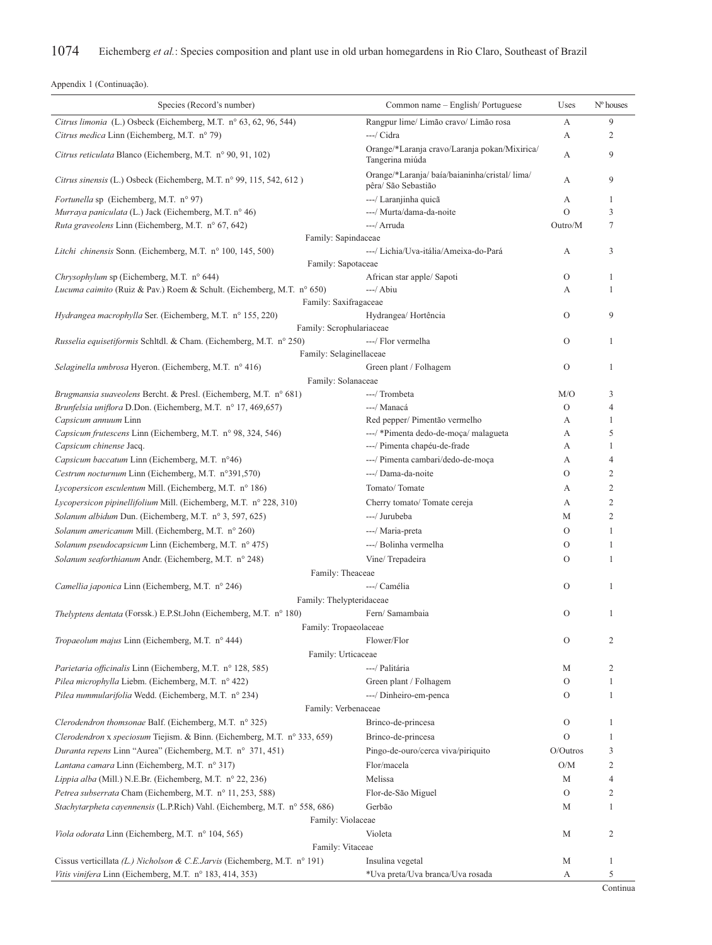| Species (Record's number)                                                                                                              | Common name - English/Portuguese                                    | Uses          | $No$ houses       |
|----------------------------------------------------------------------------------------------------------------------------------------|---------------------------------------------------------------------|---------------|-------------------|
| Citrus limonia (L.) Osbeck (Eichemberg, M.T. n° 63, 62, 96, 544)                                                                       | Rangpur lime/ Limão cravo/ Limão rosa                               | А             | 9                 |
| Citrus medica Linn (Eichemberg, M.T. n° 79)                                                                                            | ---/ Cidra                                                          | А             | $\overline{2}$    |
| Citrus reticulata Blanco (Eichemberg, M.T. n° 90, 91, 102)                                                                             | Orange/*Laranja cravo/Laranja pokan/Mixirica/<br>Tangerina miúda    | А             | 9                 |
| Citrus sinensis (L.) Osbeck (Eichemberg, M.T. n° 99, 115, 542, 612)                                                                    | Orange/*Laranja/baía/baianinha/cristal/lima/<br>pêra/ São Sebastião | А             | 9                 |
| <i>Fortunella</i> sp (Eichemberg, M.T. n° 97)                                                                                          | ---/ Laranjinha quicã                                               | А             | 1                 |
| Murraya paniculata (L.) Jack (Eichemberg, M.T. n° 46)                                                                                  | ---/ Murta/dama-da-noite                                            | $\Omega$      | 3                 |
| Ruta graveolens Linn (Eichemberg, M.T. n° 67, 642)                                                                                     | ---/ Arruda                                                         | Outro/M       | 7                 |
| Family: Sapindaceae                                                                                                                    |                                                                     |               |                   |
| Litchi chinensis Sonn. (Eichemberg, M.T. n° 100, 145, 500)                                                                             | ---/ Lichia/Uva-itália/Ameixa-do-Pará                               | А             | 3                 |
| Family: Sapotaceae                                                                                                                     |                                                                     |               |                   |
| Chrysophylum sp (Eichemberg, M.T. n° 644)<br>Lucuma caimito (Ruiz & Pav.) Roem & Schult. (Eichemberg, M.T. nº 650)                     | African star apple/ Sapoti<br>$---/$ Abiu                           | $\mathcal{O}$ | $\mathbf{1}$<br>1 |
| Family: Saxifragaceae                                                                                                                  |                                                                     | А             |                   |
| Hydrangea macrophylla Ser. (Eichemberg, M.T. nº 155, 220)                                                                              | Hydrangea/Hortência                                                 | $\Omega$      | 9                 |
| Family: Scrophulariaceae                                                                                                               |                                                                     |               |                   |
| Russelia equisetiformis Schltdl. & Cham. (Eichemberg, M.T. n° 250)                                                                     | ---/ Flor vermelha                                                  | $\mathcal{O}$ | 1                 |
| Family: Selaginellaceae                                                                                                                |                                                                     |               |                   |
| Selaginella umbrosa Hyeron. (Eichemberg, M.T. nº 416)                                                                                  | Green plant / Folhagem                                              | $\mathcal{O}$ | $\mathbf{1}$      |
| Family: Solanaceae                                                                                                                     |                                                                     |               |                   |
| Brugmansia suaveolens Bercht. & Presl. (Eichemberg, M.T. n° 681)                                                                       | ---/ Trombeta                                                       | M/O           | 3                 |
| Brunfelsia uniflora D.Don. (Eichemberg, M.T. nº 17, 469,657)                                                                           | ---/ Manacá                                                         | $\Omega$      | 4                 |
| Capsicum annuum Linn                                                                                                                   | Red pepper/ Pimentão vermelho                                       | А             | 1                 |
| Capsicum frutescens Linn (Eichemberg, M.T. n° 98, 324, 546)                                                                            | ---/ *Pimenta dedo-de-moça/ malagueta                               | A             | 5                 |
| Capsicum chinense Jacq.                                                                                                                | ---/ Pimenta chapéu-de-frade                                        | А             | $\mathbf{1}$      |
| Capsicum baccatum Linn (Eichemberg, M.T. n°46)                                                                                         | ---/ Pimenta cambari/dedo-de-moça                                   | А             | $\overline{4}$    |
| Cestrum nocturnum Linn (Eichemberg, M.T. n°391,570)                                                                                    | ---/ Dama-da-noite                                                  | $\mathcal{O}$ | $\mathbf{2}$      |
| Lycopersicon esculentum Mill. (Eichemberg, M.T. n° 186)                                                                                | Tomato/Tomate                                                       | А             | $\mathbf{2}$      |
| Lycopersicon pipinellifolium Mill. (Eichemberg, M.T. n° 228, 310)                                                                      | Cherry tomato/ Tomate cereja                                        | А             | $\overline{2}$    |
| Solanum albidum Dun. (Eichemberg, M.T. nº 3, 597, 625)                                                                                 | ---/ Jurubeba                                                       | М             | $\overline{2}$    |
| Solanum americanum Mill. (Eichemberg, M.T. nº 260)                                                                                     | ---/ Maria-preta                                                    | $\Omega$      | 1                 |
| Solanum pseudocapsicum Linn (Eichemberg, M.T. nº 475)                                                                                  | ---/ Bolinha vermelha                                               | $\Omega$      | 1                 |
| Solanum seaforthianum Andr. (Eichemberg, M.T. nº 248)                                                                                  | Vine/Trepadeira                                                     | $\Omega$      | 1                 |
|                                                                                                                                        |                                                                     |               |                   |
| Family: Theaceae                                                                                                                       | ---/ Camélia                                                        | $\mathcal{O}$ | 1                 |
| Camellia japonica Linn (Eichemberg, M.T. n° 246)<br>Family: Thelypteridaceae                                                           |                                                                     |               |                   |
| <i>Thelyptens dentata</i> (Forssk.) E.P.St.John (Eichemberg, M.T. n° 180)                                                              | Fern/ Samambaia                                                     | $\mathcal{O}$ | 1                 |
| Family: Tropaeolaceae                                                                                                                  |                                                                     |               |                   |
| Tropaeolum majus Linn (Eichemberg, M.T. n° 444)                                                                                        | Flower/Flor                                                         | $\mathcal{O}$ | 2                 |
| Family: Urticaceae                                                                                                                     |                                                                     |               |                   |
| Parietaria officinalis Linn (Eichemberg, M.T. n° 128, 585)                                                                             | ---/ Palitária                                                      | М             | $\overline{2}$    |
| Pilea microphylla Liebm. (Eichemberg, M.T. n° 422)                                                                                     | Green plant / Folhagem                                              | $\mathcal{O}$ | 1                 |
| Pilea nummularifolia Wedd. (Eichemberg, M.T. nº 234)                                                                                   | ---/ Dinheiro-em-penca                                              | $\mathcal{O}$ | 1                 |
| Family: Verbenaceae                                                                                                                    |                                                                     |               |                   |
| Clerodendron thomsonae Balf. (Eichemberg, M.T. n° 325)                                                                                 | Brinco-de-princesa                                                  | $\mathcal{O}$ | 1                 |
|                                                                                                                                        |                                                                     | $\mathcal{O}$ | 1                 |
| Clerodendron x speciosum Tiejism. & Binn. (Eichemberg, M.T. n° 333, 659)<br>Duranta repens Linn "Aurea" (Eichemberg, M.T. n° 371, 451) | Brinco-de-princesa                                                  |               |                   |
|                                                                                                                                        | Pingo-de-ouro/cerca viva/piriquito                                  | $O/O$ utros   | 3                 |
| Lantana camara Linn (Eichemberg, M.T. nº 317)                                                                                          | Flor/macela                                                         | O/M           | $\overline{2}$    |
| Lippia alba (Mill.) N.E.Br. (Eichemberg, M.T. nº 22, 236)                                                                              | Melissa                                                             | М             | 4                 |
| Petrea subserrata Cham (Eichemberg, M.T. nº 11, 253, 588)                                                                              | Flor-de-São Miguel                                                  | $\mathcal{O}$ | 2                 |
| Stachytarpheta cayennensis (L.P.Rich) Vahl. (Eichemberg, M.T. nº 558, 686)                                                             | Gerbão                                                              | M             | 1                 |
| Family: Violaceae                                                                                                                      |                                                                     |               |                   |
| Viola odorata Linn (Eichemberg, M.T. n° 104, 565)                                                                                      | Violeta                                                             | М             | $\overline{2}$    |
| Family: Vitaceae                                                                                                                       |                                                                     |               |                   |
| Cissus verticillata (L.) Nicholson & C.E.Jarvis (Eichemberg, M.T. n° 191)                                                              | Insulina vegetal                                                    | М             | 1                 |
| Vitis vinifera Linn (Eichemberg, M.T. n° 183, 414, 353)                                                                                | *Uva preta/Uva branca/Uva rosada                                    | А             | 5                 |